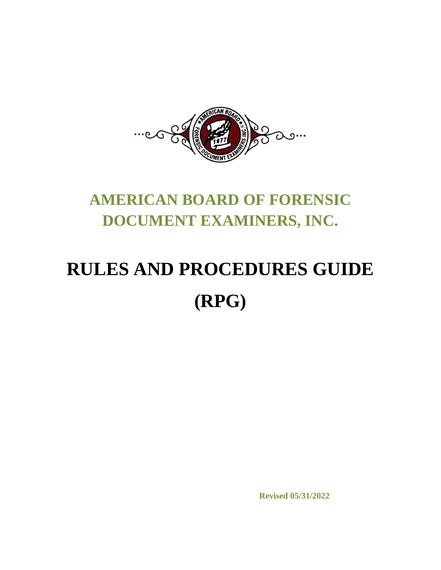

# **AMERICAN BOARD OF FORENSIC DOCUMENT EXAMINERS, INC.**

# **RULES AND PROCEDURES GUIDE (RPG)**

**Revised 05/31/2022**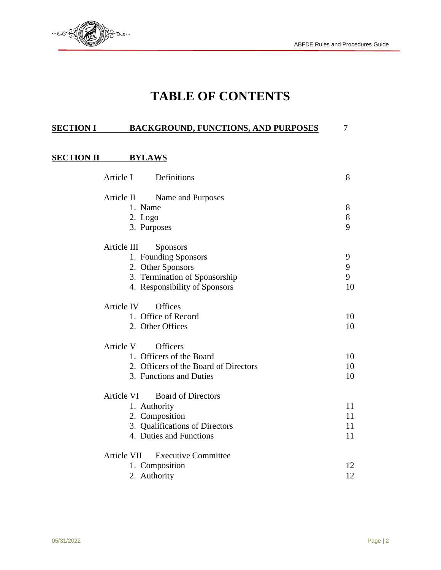

# **TABLE OF CONTENTS**

#### **SECTION I BACKGROUND, FUNCTIONS, AND PURPOSES** 7

#### **SECTION II BYLAWS**

| Article I   | Definitions                           | 8  |
|-------------|---------------------------------------|----|
| Article II  | Name and Purposes                     |    |
|             | 1. Name                               | 8  |
|             | $2.$ Logo                             | 8  |
|             | 3. Purposes                           | 9  |
| Article III | <b>Sponsors</b>                       |    |
|             | 1. Founding Sponsors                  | 9  |
|             | 2. Other Sponsors                     | 9  |
|             | 3. Termination of Sponsorship         | 9  |
|             | 4. Responsibility of Sponsors         | 10 |
| Article IV  | <b>Offices</b>                        |    |
|             | 1. Office of Record                   | 10 |
|             | 2. Other Offices                      | 10 |
| Article V   | <b>Officers</b>                       |    |
|             | 1. Officers of the Board              | 10 |
|             | 2. Officers of the Board of Directors | 10 |
|             | 3. Functions and Duties               | 10 |
| Article VI  | <b>Board of Directors</b>             |    |
|             | 1. Authority                          | 11 |
|             | 2. Composition                        | 11 |
|             | 3. Qualifications of Directors        | 11 |
|             | 4. Duties and Functions               | 11 |
| Article VII | <b>Executive Committee</b>            |    |
|             | 1. Composition                        | 12 |
|             | 2. Authority                          | 12 |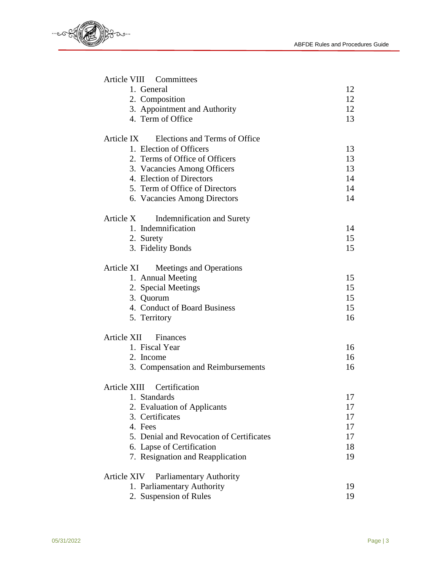

| Article VIII Committees                     |    |
|---------------------------------------------|----|
| 1. General                                  | 12 |
| 2. Composition                              | 12 |
| 3. Appointment and Authority                | 12 |
| 4. Term of Office                           | 13 |
| Elections and Terms of Office<br>Article IX |    |
| 1. Election of Officers                     | 13 |
| 2. Terms of Office of Officers              | 13 |
| 3. Vacancies Among Officers                 | 13 |
| 4. Election of Directors                    | 14 |
| 5. Term of Office of Directors              | 14 |
| 6. Vacancies Among Directors                | 14 |
| Article X<br>Indemnification and Surety     |    |
| 1. Indemnification                          | 14 |
| 2. Surety                                   | 15 |
| 3. Fidelity Bonds                           | 15 |
| Article XI<br>Meetings and Operations       |    |
| 1. Annual Meeting                           | 15 |
| 2. Special Meetings                         | 15 |
| 3. Quorum                                   | 15 |
| 4. Conduct of Board Business                | 15 |
| 5. Territory                                | 16 |
| Article XII Finances                        |    |
| 1. Fiscal Year                              | 16 |
| 2. Income                                   | 16 |
| 3. Compensation and Reimbursements          | 16 |
| Article XIII Certification                  |    |
| 1. Standards                                | 17 |
| 2. Evaluation of Applicants                 | 17 |
| 3. Certificates                             | 17 |
| 4. Fees                                     | 17 |
| 5. Denial and Revocation of Certificates    | 17 |
| 6. Lapse of Certification                   | 18 |
| 7. Resignation and Reapplication            | 19 |
| Parliamentary Authority<br>Article XIV      |    |
| 1. Parliamentary Authority                  | 19 |
| 2. Suspension of Rules                      | 19 |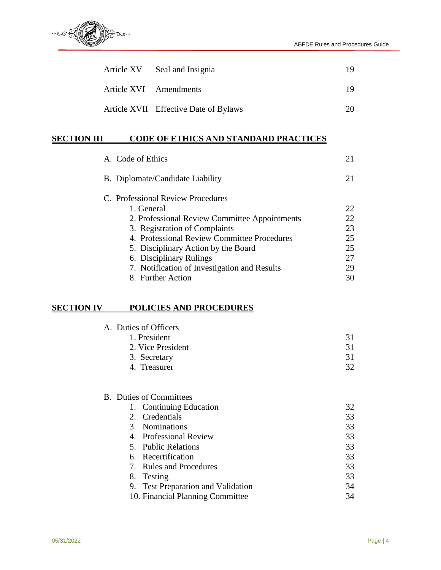

| Article XV Seal and Insignia          | 19 |
|---------------------------------------|----|
| Article XVI Amendments                | 19 |
| Article XVII Effective Date of Bylaws | 20 |

#### **SECTION III CODE OF ETHICS AND STANDARD PRACTICES**

| A. Code of Ethics                             |    |
|-----------------------------------------------|----|
| B. Diplomate/Candidate Liability              | 21 |
| C. Professional Review Procedures             |    |
| 1. General                                    | 22 |
| 2. Professional Review Committee Appointments | 22 |
| 3. Registration of Complaints                 | 23 |
| 4. Professional Review Committee Procedures   | 25 |
| 5. Disciplinary Action by the Board           | 25 |
| 6. Disciplinary Rulings                       | 27 |
| 7. Notification of Investigation and Results  | 29 |
| 8. Further Action                             | 30 |
|                                               |    |

#### **SECTION IV POLICIES AND PROCEDURES**

|             |                                        | 31                                                                                                                                                                                                                                                          |
|-------------|----------------------------------------|-------------------------------------------------------------------------------------------------------------------------------------------------------------------------------------------------------------------------------------------------------------|
|             |                                        | 31                                                                                                                                                                                                                                                          |
|             |                                        | 31                                                                                                                                                                                                                                                          |
|             |                                        | 32                                                                                                                                                                                                                                                          |
|             |                                        |                                                                                                                                                                                                                                                             |
|             |                                        |                                                                                                                                                                                                                                                             |
|             |                                        |                                                                                                                                                                                                                                                             |
|             |                                        | 32                                                                                                                                                                                                                                                          |
| $2^{\circ}$ | Credentials                            | 33                                                                                                                                                                                                                                                          |
|             |                                        | 33                                                                                                                                                                                                                                                          |
|             |                                        | 33                                                                                                                                                                                                                                                          |
|             |                                        | 33                                                                                                                                                                                                                                                          |
|             |                                        | 33                                                                                                                                                                                                                                                          |
| 7.          | <b>Rules and Procedures</b>            | 33                                                                                                                                                                                                                                                          |
| 8.          |                                        | 33                                                                                                                                                                                                                                                          |
| 9.          | <b>Test Preparation and Validation</b> | 34                                                                                                                                                                                                                                                          |
|             |                                        | A. Duties of Officers<br>1. President<br>2. Vice President<br>3. Secretary<br>4. Treasurer<br><b>B.</b> Duties of Committees<br>1. Continuing Education<br>3. Nominations<br>4. Professional Review<br>5. Public Relations<br>6. Recertification<br>Testing |

10. Financial Planning Committee 34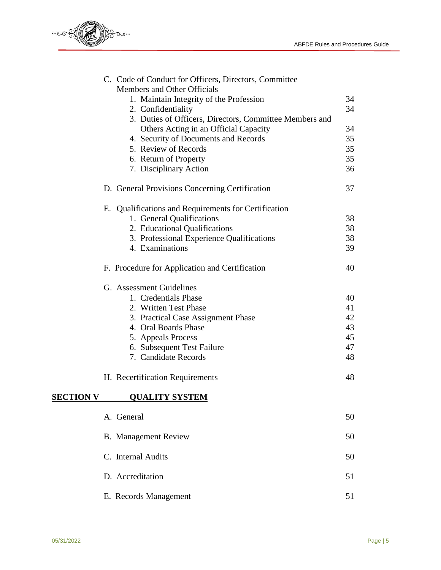

|                  | C. Code of Conduct for Officers, Directors, Committee<br>Members and Other Officials |    |
|------------------|--------------------------------------------------------------------------------------|----|
|                  | 1. Maintain Integrity of the Profession                                              | 34 |
|                  | 2. Confidentiality                                                                   | 34 |
|                  | 3. Duties of Officers, Directors, Committee Members and                              |    |
|                  | Others Acting in an Official Capacity                                                | 34 |
|                  | 4. Security of Documents and Records                                                 | 35 |
|                  | 5. Review of Records                                                                 | 35 |
|                  | 6. Return of Property                                                                | 35 |
|                  | 7. Disciplinary Action                                                               | 36 |
|                  | D. General Provisions Concerning Certification                                       | 37 |
|                  | E. Qualifications and Requirements for Certification                                 |    |
|                  | 1. General Qualifications                                                            | 38 |
|                  | 2. Educational Qualifications                                                        | 38 |
|                  | 3. Professional Experience Qualifications                                            | 38 |
|                  | 4. Examinations                                                                      | 39 |
|                  | F. Procedure for Application and Certification                                       | 40 |
|                  | G. Assessment Guidelines                                                             |    |
|                  | 1. Credentials Phase                                                                 | 40 |
|                  | 2. Written Test Phase                                                                | 41 |
|                  | 3. Practical Case Assignment Phase                                                   | 42 |
|                  | 4. Oral Boards Phase                                                                 | 43 |
|                  | 5. Appeals Process                                                                   | 45 |
|                  | 6. Subsequent Test Failure                                                           | 47 |
|                  | 7. Candidate Records                                                                 | 48 |
|                  | H. Recertification Requirements                                                      | 48 |
| <b>SECTION V</b> | <b>QUALITY SYSTEM</b>                                                                |    |
|                  | A. General                                                                           | 50 |
|                  | <b>B.</b> Management Review                                                          | 50 |
|                  | C. Internal Audits                                                                   | 50 |
|                  | D. Accreditation                                                                     | 51 |
|                  |                                                                                      |    |
|                  | E. Records Management                                                                | 51 |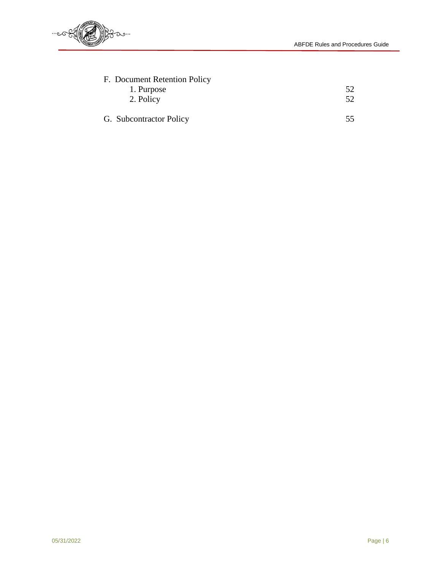

| F. Document Retention Policy |     |
|------------------------------|-----|
| 1. Purpose                   | 52. |
| 2. Policy                    | 52  |
| G. Subcontractor Policy      | 55  |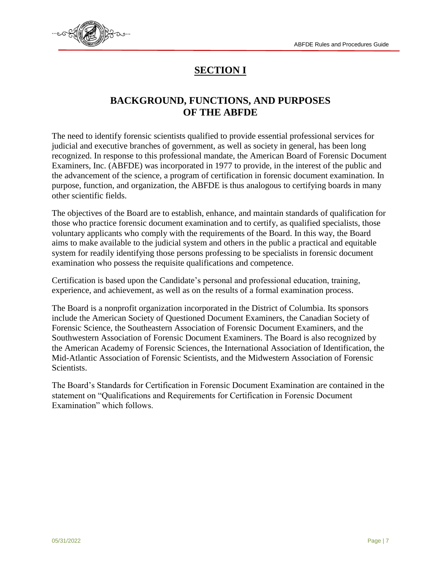

# **SECTION I**

## **BACKGROUND, FUNCTIONS, AND PURPOSES OF THE ABFDE**

The need to identify forensic scientists qualified to provide essential professional services for judicial and executive branches of government, as well as society in general, has been long recognized. In response to this professional mandate, the American Board of Forensic Document Examiners, Inc. (ABFDE) was incorporated in 1977 to provide, in the interest of the public and the advancement of the science, a program of certification in forensic document examination. In purpose, function, and organization, the ABFDE is thus analogous to certifying boards in many other scientific fields.

The objectives of the Board are to establish, enhance, and maintain standards of qualification for those who practice forensic document examination and to certify, as qualified specialists, those voluntary applicants who comply with the requirements of the Board. In this way, the Board aims to make available to the judicial system and others in the public a practical and equitable system for readily identifying those persons professing to be specialists in forensic document examination who possess the requisite qualifications and competence.

Certification is based upon the Candidate's personal and professional education, training, experience, and achievement, as well as on the results of a formal examination process.

The Board is a nonprofit organization incorporated in the District of Columbia. Its sponsors include the American Society of Questioned Document Examiners, the Canadian Society of Forensic Science, the Southeastern Association of Forensic Document Examiners, and the Southwestern Association of Forensic Document Examiners. The Board is also recognized by the American Academy of Forensic Sciences, the International Association of Identification, the Mid-Atlantic Association of Forensic Scientists, and the Midwestern Association of Forensic Scientists.

The Board's Standards for Certification in Forensic Document Examination are contained in the statement on "Qualifications and Requirements for Certification in Forensic Document Examination" which follows.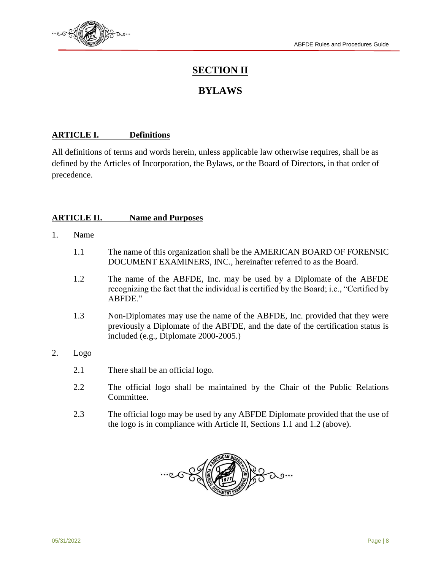

# **SECTION II**

# **BYLAWS**

#### **ARTICLE I. Definitions**

All definitions of terms and words herein, unless applicable law otherwise requires, shall be as defined by the Articles of Incorporation, the Bylaws, or the Board of Directors, in that order of precedence.

#### **ARTICLE II. Name and Purposes**

- 1. Name
	- 1.1 The name of this organization shall be the AMERICAN BOARD OF FORENSIC DOCUMENT EXAMINERS, INC., hereinafter referred to as the Board.
	- 1.2 The name of the ABFDE, Inc. may be used by a Diplomate of the ABFDE recognizing the fact that the individual is certified by the Board; i.e., "Certified by ABFDE."
	- 1.3 Non-Diplomates may use the name of the ABFDE, Inc. provided that they were previously a Diplomate of the ABFDE, and the date of the certification status is included (e.g., Diplomate 2000-2005.)
- 2. Logo
	- 2.1 There shall be an official logo.
	- 2.2 The official logo shall be maintained by the Chair of the Public Relations Committee.
	- 2.3 The official logo may be used by any ABFDE Diplomate provided that the use of the logo is in compliance with Article II, Sections 1.1 and 1.2 (above).

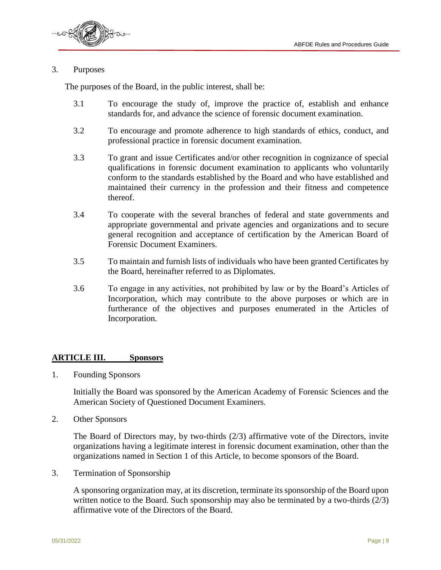

#### 3. Purposes

The purposes of the Board, in the public interest, shall be:

- 3.1 To encourage the study of, improve the practice of, establish and enhance standards for, and advance the science of forensic document examination.
- 3.2 To encourage and promote adherence to high standards of ethics, conduct, and professional practice in forensic document examination.
- 3.3 To grant and issue Certificates and/or other recognition in cognizance of special qualifications in forensic document examination to applicants who voluntarily conform to the standards established by the Board and who have established and maintained their currency in the profession and their fitness and competence thereof.
- 3.4 To cooperate with the several branches of federal and state governments and appropriate governmental and private agencies and organizations and to secure general recognition and acceptance of certification by the American Board of Forensic Document Examiners.
- 3.5 To maintain and furnish lists of individuals who have been granted Certificates by the Board, hereinafter referred to as Diplomates.
- 3.6 To engage in any activities, not prohibited by law or by the Board's Articles of Incorporation, which may contribute to the above purposes or which are in furtherance of the objectives and purposes enumerated in the Articles of Incorporation.

#### **ARTICLE III. Sponsors**

1. Founding Sponsors

Initially the Board was sponsored by the American Academy of Forensic Sciences and the American Society of Questioned Document Examiners.

2. Other Sponsors

The Board of Directors may, by two-thirds (2/3) affirmative vote of the Directors, invite organizations having a legitimate interest in forensic document examination, other than the organizations named in Section 1 of this Article, to become sponsors of the Board.

3. Termination of Sponsorship

A sponsoring organization may, at its discretion, terminate its sponsorship of the Board upon written notice to the Board. Such sponsorship may also be terminated by a two-thirds (2/3) affirmative vote of the Directors of the Board.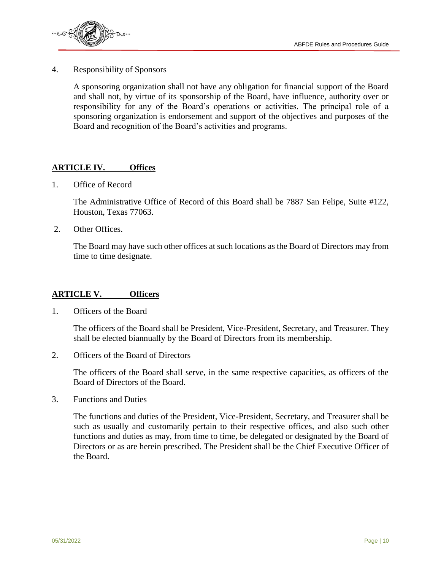

4. Responsibility of Sponsors

A sponsoring organization shall not have any obligation for financial support of the Board and shall not, by virtue of its sponsorship of the Board, have influence, authority over or responsibility for any of the Board's operations or activities. The principal role of a sponsoring organization is endorsement and support of the objectives and purposes of the Board and recognition of the Board's activities and programs.

#### **ARTICLE IV. Offices**

1. Office of Record

The Administrative Office of Record of this Board shall be 7887 San Felipe, Suite #122, Houston, Texas 77063.

2. Other Offices.

The Board may have such other offices at such locations as the Board of Directors may from time to time designate.

#### **ARTICLE V. Officers**

1. Officers of the Board

The officers of the Board shall be President, Vice-President, Secretary, and Treasurer. They shall be elected biannually by the Board of Directors from its membership.

2. Officers of the Board of Directors

The officers of the Board shall serve, in the same respective capacities, as officers of the Board of Directors of the Board.

3. Functions and Duties

The functions and duties of the President, Vice-President, Secretary, and Treasurer shall be such as usually and customarily pertain to their respective offices, and also such other functions and duties as may, from time to time, be delegated or designated by the Board of Directors or as are herein prescribed. The President shall be the Chief Executive Officer of the Board.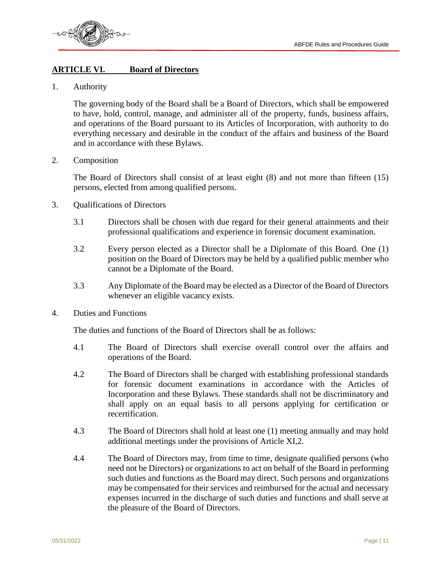



#### **ARTICLE VI. Board of Directors**

1. Authority

The governing body of the Board shall be a Board of Directors, which shall be empowered to have, hold, control, manage, and administer all of the property, funds, business affairs, and operations of the Board pursuant to its Articles of Incorporation, with authority to do everything necessary and desirable in the conduct of the affairs and business of the Board and in accordance with these Bylaws.

2. Composition

The Board of Directors shall consist of at least eight (8) and not more than fifteen (15) persons, elected from among qualified persons.

- 3. Qualifications of Directors
	- 3.1 Directors shall be chosen with due regard for their general attainments and their professional qualifications and experience in forensic document examination.
	- 3.2 Every person elected as a Director shall be a Diplomate of this Board. One (1) position on the Board of Directors may be held by a qualified public member who cannot be a Diplomate of the Board.
	- 3.3 Any Diplomate of the Board may be elected as a Director of the Board of Directors whenever an eligible vacancy exists.
- 4. Duties and Functions

The duties and functions of the Board of Directors shall be as follows:

- 4.1 The Board of Directors shall exercise overall control over the affairs and operations of the Board.
- 4.2 The Board of Directors shall be charged with establishing professional standards for forensic document examinations in accordance with the Articles of Incorporation and these Bylaws. These standards shall not be discriminatory and shall apply on an equal basis to all persons applying for certification or recertification.
- 4.3 The Board of Directors shall hold at least one (1) meeting annually and may hold additional meetings under the provisions of Article XI,2.
- 4.4 The Board of Directors may, from time to time, designate qualified persons (who need not be Directors) or organizations to act on behalf of the Board in performing such duties and functions as the Board may direct. Such persons and organizations may be compensated for their services and reimbursed for the actual and necessary expenses incurred in the discharge of such duties and functions and shall serve at the pleasure of the Board of Directors.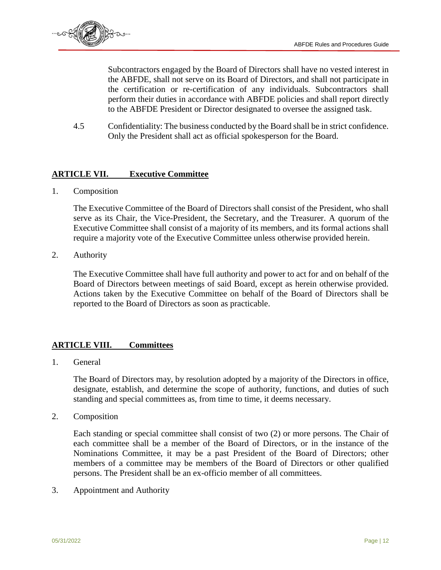

Subcontractors engaged by the Board of Directors shall have no vested interest in the ABFDE, shall not serve on its Board of Directors, and shall not participate in the certification or re-certification of any individuals. Subcontractors shall perform their duties in accordance with ABFDE policies and shall report directly to the ABFDE President or Director designated to oversee the assigned task.

4.5 Confidentiality: The business conducted by the Board shall be in strict confidence. Only the President shall act as official spokesperson for the Board.

#### **ARTICLE VII. Executive Committee**

1. Composition

The Executive Committee of the Board of Directors shall consist of the President, who shall serve as its Chair, the Vice-President, the Secretary, and the Treasurer. A quorum of the Executive Committee shall consist of a majority of its members, and its formal actions shall require a majority vote of the Executive Committee unless otherwise provided herein.

2. Authority

The Executive Committee shall have full authority and power to act for and on behalf of the Board of Directors between meetings of said Board, except as herein otherwise provided. Actions taken by the Executive Committee on behalf of the Board of Directors shall be reported to the Board of Directors as soon as practicable.

#### **ARTICLE VIII. Committees**

1. General

The Board of Directors may, by resolution adopted by a majority of the Directors in office, designate, establish, and determine the scope of authority, functions, and duties of such standing and special committees as, from time to time, it deems necessary.

2. Composition

Each standing or special committee shall consist of two (2) or more persons. The Chair of each committee shall be a member of the Board of Directors, or in the instance of the Nominations Committee, it may be a past President of the Board of Directors; other members of a committee may be members of the Board of Directors or other qualified persons. The President shall be an ex-officio member of all committees.

3. Appointment and Authority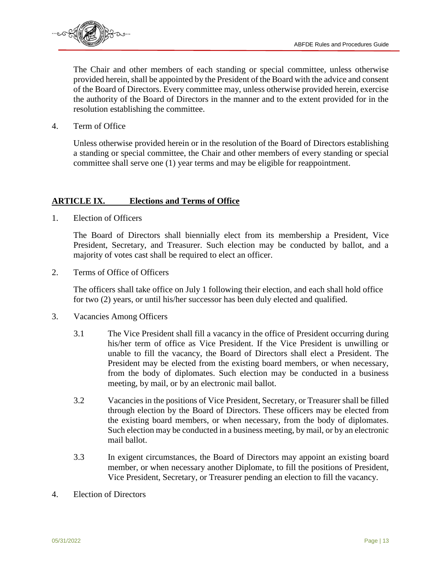

The Chair and other members of each standing or special committee, unless otherwise provided herein, shall be appointed by the President of the Board with the advice and consent of the Board of Directors. Every committee may, unless otherwise provided herein, exercise the authority of the Board of Directors in the manner and to the extent provided for in the resolution establishing the committee.

4. Term of Office

Unless otherwise provided herein or in the resolution of the Board of Directors establishing a standing or special committee, the Chair and other members of every standing or special committee shall serve one (1) year terms and may be eligible for reappointment.

#### **ARTICLE IX. Elections and Terms of Office**

1. Election of Officers

The Board of Directors shall biennially elect from its membership a President, Vice President, Secretary, and Treasurer. Such election may be conducted by ballot, and a majority of votes cast shall be required to elect an officer.

2. Terms of Office of Officers

The officers shall take office on July 1 following their election, and each shall hold office for two (2) years, or until his/her successor has been duly elected and qualified.

- 3. Vacancies Among Officers
	- 3.1 The Vice President shall fill a vacancy in the office of President occurring during his/her term of office as Vice President. If the Vice President is unwilling or unable to fill the vacancy, the Board of Directors shall elect a President. The President may be elected from the existing board members, or when necessary, from the body of diplomates. Such election may be conducted in a business meeting, by mail, or by an electronic mail ballot.
	- 3.2 Vacancies in the positions of Vice President, Secretary, or Treasurer shall be filled through election by the Board of Directors. These officers may be elected from the existing board members, or when necessary, from the body of diplomates. Such election may be conducted in a business meeting, by mail, or by an electronic mail ballot.
	- 3.3 In exigent circumstances, the Board of Directors may appoint an existing board member, or when necessary another Diplomate, to fill the positions of President, Vice President, Secretary, or Treasurer pending an election to fill the vacancy.
- 4. Election of Directors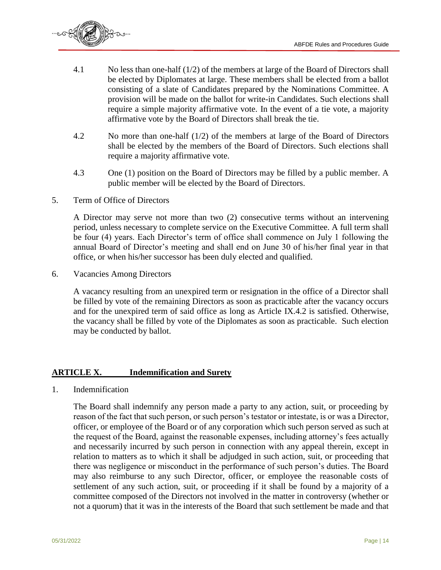

- 4.1 No less than one-half (1/2) of the members at large of the Board of Directors shall be elected by Diplomates at large. These members shall be elected from a ballot consisting of a slate of Candidates prepared by the Nominations Committee. A provision will be made on the ballot for write-in Candidates. Such elections shall require a simple majority affirmative vote. In the event of a tie vote, a majority affirmative vote by the Board of Directors shall break the tie.
- 4.2 No more than one-half (1/2) of the members at large of the Board of Directors shall be elected by the members of the Board of Directors. Such elections shall require a majority affirmative vote.
- 4.3 One (1) position on the Board of Directors may be filled by a public member. A public member will be elected by the Board of Directors.
- 5. Term of Office of Directors

A Director may serve not more than two (2) consecutive terms without an intervening period, unless necessary to complete service on the Executive Committee. A full term shall be four (4) years. Each Director's term of office shall commence on July 1 following the annual Board of Director's meeting and shall end on June 30 of his/her final year in that office, or when his/her successor has been duly elected and qualified.

6. Vacancies Among Directors

A vacancy resulting from an unexpired term or resignation in the office of a Director shall be filled by vote of the remaining Directors as soon as practicable after the vacancy occurs and for the unexpired term of said office as long as Article IX.4.2 is satisfied. Otherwise, the vacancy shall be filled by vote of the Diplomates as soon as practicable. Such election may be conducted by ballot.

#### **ARTICLE X. Indemnification and Surety**

1. Indemnification

The Board shall indemnify any person made a party to any action, suit, or proceeding by reason of the fact that such person, or such person's testator or intestate, is or was a Director, officer, or employee of the Board or of any corporation which such person served as such at the request of the Board, against the reasonable expenses, including attorney's fees actually and necessarily incurred by such person in connection with any appeal therein, except in relation to matters as to which it shall be adjudged in such action, suit, or proceeding that there was negligence or misconduct in the performance of such person's duties. The Board may also reimburse to any such Director, officer, or employee the reasonable costs of settlement of any such action, suit, or proceeding if it shall be found by a majority of a committee composed of the Directors not involved in the matter in controversy (whether or not a quorum) that it was in the interests of the Board that such settlement be made and that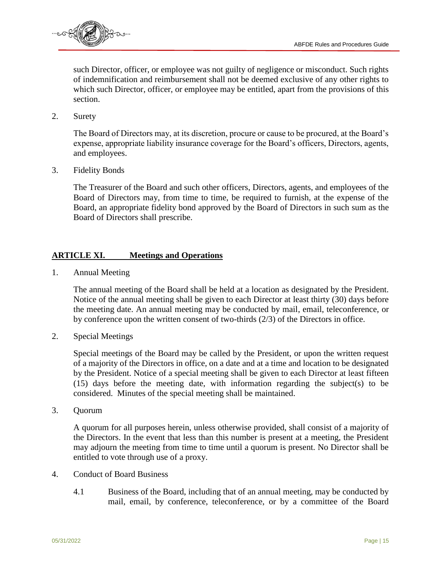

such Director, officer, or employee was not guilty of negligence or misconduct. Such rights of indemnification and reimbursement shall not be deemed exclusive of any other rights to which such Director, officer, or employee may be entitled, apart from the provisions of this section.

2. Surety

The Board of Directors may, at its discretion, procure or cause to be procured, at the Board's expense, appropriate liability insurance coverage for the Board's officers, Directors, agents, and employees.

3. Fidelity Bonds

The Treasurer of the Board and such other officers, Directors, agents, and employees of the Board of Directors may, from time to time, be required to furnish, at the expense of the Board, an appropriate fidelity bond approved by the Board of Directors in such sum as the Board of Directors shall prescribe.

#### **ARTICLE XI. Meetings and Operations**

1. Annual Meeting

The annual meeting of the Board shall be held at a location as designated by the President. Notice of the annual meeting shall be given to each Director at least thirty (30) days before the meeting date. An annual meeting may be conducted by mail, email, teleconference, or by conference upon the written consent of two-thirds (2/3) of the Directors in office.

2. Special Meetings

Special meetings of the Board may be called by the President, or upon the written request of a majority of the Directors in office, on a date and at a time and location to be designated by the President. Notice of a special meeting shall be given to each Director at least fifteen (15) days before the meeting date, with information regarding the subject(s) to be considered. Minutes of the special meeting shall be maintained.

3. Quorum

A quorum for all purposes herein, unless otherwise provided, shall consist of a majority of the Directors. In the event that less than this number is present at a meeting, the President may adjourn the meeting from time to time until a quorum is present. No Director shall be entitled to vote through use of a proxy.

- 4. Conduct of Board Business
	- 4.1 Business of the Board, including that of an annual meeting, may be conducted by mail, email, by conference, teleconference, or by a committee of the Board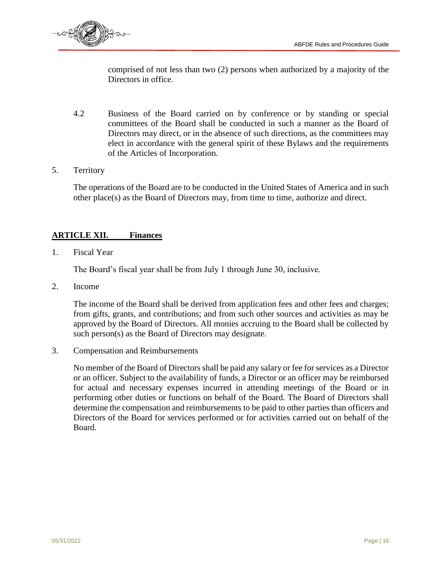

comprised of not less than two (2) persons when authorized by a majority of the Directors in office.

- 4.2 Business of the Board carried on by conference or by standing or special committees of the Board shall be conducted in such a manner as the Board of Directors may direct, or in the absence of such directions, as the committees may elect in accordance with the general spirit of these Bylaws and the requirements of the Articles of Incorporation.
- 5. Territory

The operations of the Board are to be conducted in the United States of America and in such other place(s) as the Board of Directors may, from time to time, authorize and direct.

#### **ARTICLE XII. Finances**

1. Fiscal Year

The Board's fiscal year shall be from July 1 through June 30, inclusive.

2. Income

The income of the Board shall be derived from application fees and other fees and charges; from gifts, grants, and contributions; and from such other sources and activities as may be approved by the Board of Directors. All monies accruing to the Board shall be collected by such person(s) as the Board of Directors may designate.

3. Compensation and Reimbursements

No member of the Board of Directors shall be paid any salary or fee for services as a Director or an officer. Subject to the availability of funds, a Director or an officer may be reimbursed for actual and necessary expenses incurred in attending meetings of the Board or in performing other duties or functions on behalf of the Board. The Board of Directors shall determine the compensation and reimbursements to be paid to other parties than officers and Directors of the Board for services performed or for activities carried out on behalf of the Board.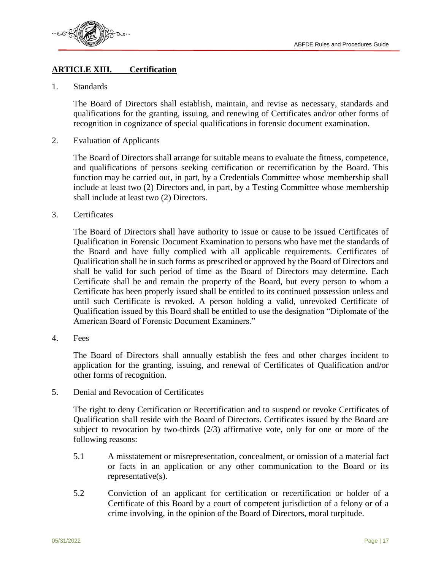

#### **ARTICLE XIII. Certification**

1. Standards

The Board of Directors shall establish, maintain, and revise as necessary, standards and qualifications for the granting, issuing, and renewing of Certificates and/or other forms of recognition in cognizance of special qualifications in forensic document examination.

2. Evaluation of Applicants

The Board of Directors shall arrange for suitable means to evaluate the fitness, competence, and qualifications of persons seeking certification or recertification by the Board. This function may be carried out, in part, by a Credentials Committee whose membership shall include at least two (2) Directors and, in part, by a Testing Committee whose membership shall include at least two (2) Directors.

3. Certificates

The Board of Directors shall have authority to issue or cause to be issued Certificates of Qualification in Forensic Document Examination to persons who have met the standards of the Board and have fully complied with all applicable requirements. Certificates of Qualification shall be in such forms as prescribed or approved by the Board of Directors and shall be valid for such period of time as the Board of Directors may determine. Each Certificate shall be and remain the property of the Board, but every person to whom a Certificate has been properly issued shall be entitled to its continued possession unless and until such Certificate is revoked. A person holding a valid, unrevoked Certificate of Qualification issued by this Board shall be entitled to use the designation "Diplomate of the American Board of Forensic Document Examiners."

4. Fees

The Board of Directors shall annually establish the fees and other charges incident to application for the granting, issuing, and renewal of Certificates of Qualification and/or other forms of recognition.

5. Denial and Revocation of Certificates

The right to deny Certification or Recertification and to suspend or revoke Certificates of Qualification shall reside with the Board of Directors. Certificates issued by the Board are subject to revocation by two-thirds (2/3) affirmative vote, only for one or more of the following reasons:

- 5.1 A misstatement or misrepresentation, concealment, or omission of a material fact or facts in an application or any other communication to the Board or its representative(s).
- 5.2 Conviction of an applicant for certification or recertification or holder of a Certificate of this Board by a court of competent jurisdiction of a felony or of a crime involving, in the opinion of the Board of Directors, moral turpitude.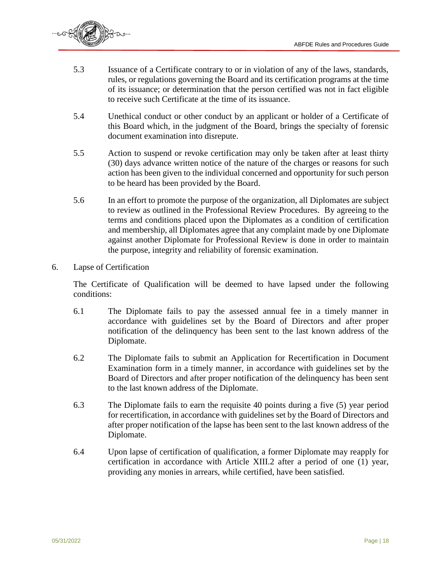

- 5.3 Issuance of a Certificate contrary to or in violation of any of the laws, standards, rules, or regulations governing the Board and its certification programs at the time of its issuance; or determination that the person certified was not in fact eligible to receive such Certificate at the time of its issuance.
- 5.4 Unethical conduct or other conduct by an applicant or holder of a Certificate of this Board which, in the judgment of the Board, brings the specialty of forensic document examination into disrepute.
- 5.5 Action to suspend or revoke certification may only be taken after at least thirty (30) days advance written notice of the nature of the charges or reasons for such action has been given to the individual concerned and opportunity for such person to be heard has been provided by the Board.
- 5.6 In an effort to promote the purpose of the organization, all Diplomates are subject to review as outlined in the Professional Review Procedures. By agreeing to the terms and conditions placed upon the Diplomates as a condition of certification and membership, all Diplomates agree that any complaint made by one Diplomate against another Diplomate for Professional Review is done in order to maintain the purpose, integrity and reliability of forensic examination.
- 6. Lapse of Certification

The Certificate of Qualification will be deemed to have lapsed under the following conditions:

- 6.1 The Diplomate fails to pay the assessed annual fee in a timely manner in accordance with guidelines set by the Board of Directors and after proper notification of the delinquency has been sent to the last known address of the Diplomate.
- 6.2 The Diplomate fails to submit an Application for Recertification in Document Examination form in a timely manner, in accordance with guidelines set by the Board of Directors and after proper notification of the delinquency has been sent to the last known address of the Diplomate.
- 6.3 The Diplomate fails to earn the requisite 40 points during a five (5) year period for recertification, in accordance with guidelines set by the Board of Directors and after proper notification of the lapse has been sent to the last known address of the Diplomate.
- 6.4 Upon lapse of certification of qualification, a former Diplomate may reapply for certification in accordance with Article XIII.2 after a period of one (1) year, providing any monies in arrears, while certified, have been satisfied.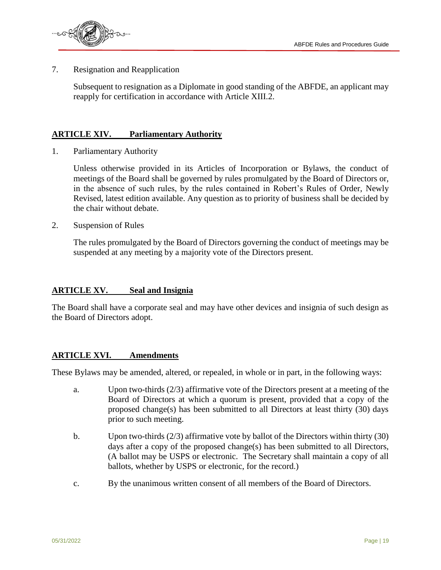

7. Resignation and Reapplication

Subsequent to resignation as a Diplomate in good standing of the ABFDE, an applicant may reapply for certification in accordance with Article XIII.2.

#### **ARTICLE XIV. Parliamentary Authority**

1. Parliamentary Authority

Unless otherwise provided in its Articles of Incorporation or Bylaws, the conduct of meetings of the Board shall be governed by rules promulgated by the Board of Directors or, in the absence of such rules, by the rules contained in Robert's Rules of Order, Newly Revised, latest edition available. Any question as to priority of business shall be decided by the chair without debate.

2. Suspension of Rules

The rules promulgated by the Board of Directors governing the conduct of meetings may be suspended at any meeting by a majority vote of the Directors present.

#### **ARTICLE XV. Seal and Insignia**

The Board shall have a corporate seal and may have other devices and insignia of such design as the Board of Directors adopt.

#### **ARTICLE XVI. Amendments**

These Bylaws may be amended, altered, or repealed, in whole or in part, in the following ways:

- a. Upon two-thirds (2/3) affirmative vote of the Directors present at a meeting of the Board of Directors at which a quorum is present, provided that a copy of the proposed change(s) has been submitted to all Directors at least thirty  $(30)$  days prior to such meeting.
- b. Upon two-thirds (2/3) affirmative vote by ballot of the Directors within thirty (30) days after a copy of the proposed change(s) has been submitted to all Directors, (A ballot may be USPS or electronic. The Secretary shall maintain a copy of all ballots, whether by USPS or electronic, for the record.)
- c. By the unanimous written consent of all members of the Board of Directors.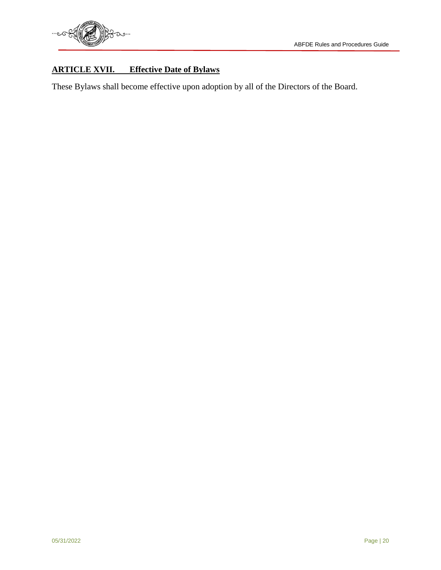## **ARTICLE XVII. Effective Date of Bylaws**

These Bylaws shall become effective upon adoption by all of the Directors of the Board.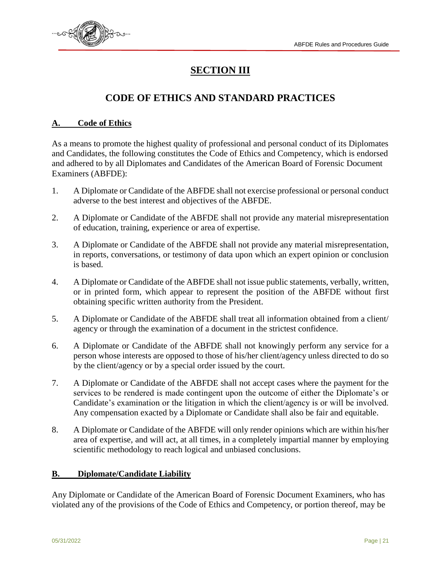

# **SECTION III**

# **CODE OF ETHICS AND STANDARD PRACTICES**

#### **A. Code of Ethics**

As a means to promote the highest quality of professional and personal conduct of its Diplomates and Candidates, the following constitutes the Code of Ethics and Competency, which is endorsed and adhered to by all Diplomates and Candidates of the American Board of Forensic Document Examiners (ABFDE):

- 1. A Diplomate or Candidate of the ABFDE shall not exercise professional or personal conduct adverse to the best interest and objectives of the ABFDE.
- 2. A Diplomate or Candidate of the ABFDE shall not provide any material misrepresentation of education, training, experience or area of expertise.
- 3. A Diplomate or Candidate of the ABFDE shall not provide any material misrepresentation, in reports, conversations, or testimony of data upon which an expert opinion or conclusion is based.
- 4. A Diplomate or Candidate of the ABFDE shall not issue public statements, verbally, written, or in printed form, which appear to represent the position of the ABFDE without first obtaining specific written authority from the President.
- 5. A Diplomate or Candidate of the ABFDE shall treat all information obtained from a client/ agency or through the examination of a document in the strictest confidence.
- 6. A Diplomate or Candidate of the ABFDE shall not knowingly perform any service for a person whose interests are opposed to those of his/her client/agency unless directed to do so by the client/agency or by a special order issued by the court.
- 7. A Diplomate or Candidate of the ABFDE shall not accept cases where the payment for the services to be rendered is made contingent upon the outcome of either the Diplomate's or Candidate's examination or the litigation in which the client/agency is or will be involved. Any compensation exacted by a Diplomate or Candidate shall also be fair and equitable.
- 8. A Diplomate or Candidate of the ABFDE will only render opinions which are within his/her area of expertise, and will act, at all times, in a completely impartial manner by employing scientific methodology to reach logical and unbiased conclusions.

#### **B. Diplomate/Candidate Liability**

Any Diplomate or Candidate of the American Board of Forensic Document Examiners, who has violated any of the provisions of the Code of Ethics and Competency, or portion thereof, may be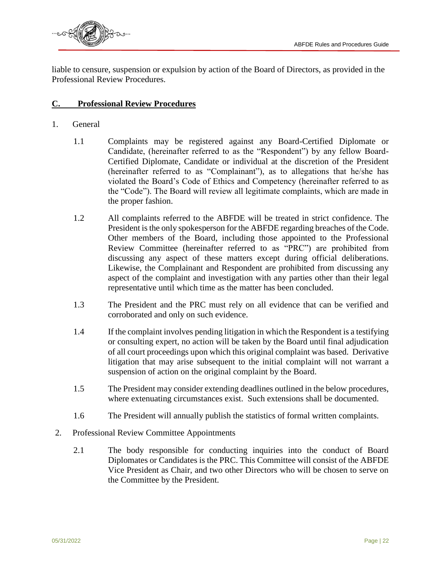

liable to censure, suspension or expulsion by action of the Board of Directors, as provided in the Professional Review Procedures.

#### **C. Professional Review Procedures**

- 1. General
	- 1.1 Complaints may be registered against any Board-Certified Diplomate or Candidate, (hereinafter referred to as the "Respondent") by any fellow Board-Certified Diplomate, Candidate or individual at the discretion of the President (hereinafter referred to as "Complainant"), as to allegations that he/she has violated the Board's Code of Ethics and Competency (hereinafter referred to as the "Code"). The Board will review all legitimate complaints, which are made in the proper fashion.
	- 1.2 All complaints referred to the ABFDE will be treated in strict confidence. The President is the only spokesperson for the ABFDE regarding breaches of the Code. Other members of the Board, including those appointed to the Professional Review Committee (hereinafter referred to as "PRC") are prohibited from discussing any aspect of these matters except during official deliberations. Likewise, the Complainant and Respondent are prohibited from discussing any aspect of the complaint and investigation with any parties other than their legal representative until which time as the matter has been concluded.
	- 1.3 The President and the PRC must rely on all evidence that can be verified and corroborated and only on such evidence.
	- 1.4 If the complaint involves pending litigation in which the Respondent is a testifying or consulting expert, no action will be taken by the Board until final adjudication of all court proceedings upon which this original complaint was based. Derivative litigation that may arise subsequent to the initial complaint will not warrant a suspension of action on the original complaint by the Board.
	- 1.5 The President may consider extending deadlines outlined in the below procedures, where extenuating circumstances exist. Such extensions shall be documented.
	- 1.6 The President will annually publish the statistics of formal written complaints.
- 2. Professional Review Committee Appointments
	- 2.1 The body responsible for conducting inquiries into the conduct of Board Diplomates or Candidates is the PRC. This Committee will consist of the ABFDE Vice President as Chair, and two other Directors who will be chosen to serve on the Committee by the President.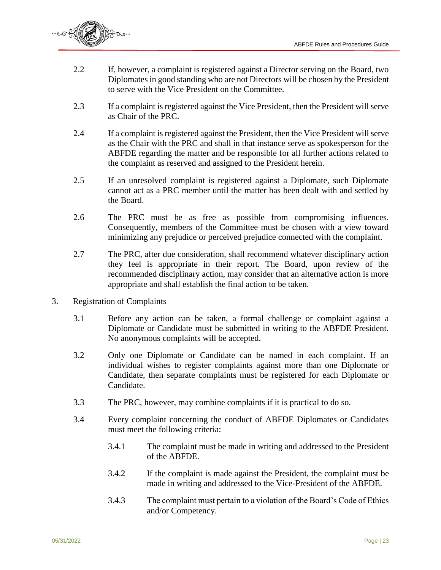

- 2.2 If, however, a complaint is registered against a Director serving on the Board, two Diplomates in good standing who are not Directors will be chosen by the President to serve with the Vice President on the Committee.
- 2.3 If a complaint is registered against the Vice President, then the President will serve as Chair of the PRC.
- 2.4 If a complaint is registered against the President, then the Vice President will serve as the Chair with the PRC and shall in that instance serve as spokesperson for the ABFDE regarding the matter and be responsible for all further actions related to the complaint as reserved and assigned to the President herein.
- 2.5 If an unresolved complaint is registered against a Diplomate, such Diplomate cannot act as a PRC member until the matter has been dealt with and settled by the Board.
- 2.6 The PRC must be as free as possible from compromising influences. Consequently, members of the Committee must be chosen with a view toward minimizing any prejudice or perceived prejudice connected with the complaint.
- 2.7 The PRC, after due consideration, shall recommend whatever disciplinary action they feel is appropriate in their report. The Board, upon review of the recommended disciplinary action, may consider that an alternative action is more appropriate and shall establish the final action to be taken.
- 3. Registration of Complaints
	- 3.1 Before any action can be taken, a formal challenge or complaint against a Diplomate or Candidate must be submitted in writing to the ABFDE President. No anonymous complaints will be accepted.
	- 3.2 Only one Diplomate or Candidate can be named in each complaint. If an individual wishes to register complaints against more than one Diplomate or Candidate, then separate complaints must be registered for each Diplomate or Candidate.
	- 3.3 The PRC, however, may combine complaints if it is practical to do so.
	- 3.4 Every complaint concerning the conduct of ABFDE Diplomates or Candidates must meet the following criteria:
		- 3.4.1 The complaint must be made in writing and addressed to the President of the ABFDE.
		- 3.4.2 If the complaint is made against the President, the complaint must be made in writing and addressed to the Vice-President of the ABFDE.
		- 3.4.3 The complaint must pertain to a violation of the Board's Code of Ethics and/or Competency.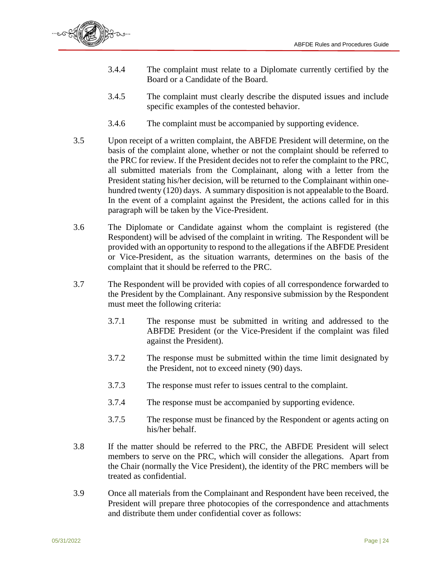

- 3.4.4 The complaint must relate to a Diplomate currently certified by the Board or a Candidate of the Board.
- 3.4.5 The complaint must clearly describe the disputed issues and include specific examples of the contested behavior.
- 3.4.6 The complaint must be accompanied by supporting evidence.
- 3.5 Upon receipt of a written complaint, the ABFDE President will determine, on the basis of the complaint alone, whether or not the complaint should be referred to the PRC for review. If the President decides not to refer the complaint to the PRC, all submitted materials from the Complainant, along with a letter from the President stating his/her decision, will be returned to the Complainant within onehundred twenty (120) days. A summary disposition is not appealable to the Board. In the event of a complaint against the President, the actions called for in this paragraph will be taken by the Vice-President.
- 3.6 The Diplomate or Candidate against whom the complaint is registered (the Respondent) will be advised of the complaint in writing. The Respondent will be provided with an opportunity to respond to the allegations if the ABFDE President or Vice-President, as the situation warrants, determines on the basis of the complaint that it should be referred to the PRC.
- 3.7 The Respondent will be provided with copies of all correspondence forwarded to the President by the Complainant. Any responsive submission by the Respondent must meet the following criteria:
	- 3.7.1 The response must be submitted in writing and addressed to the ABFDE President (or the Vice-President if the complaint was filed against the President).
	- 3.7.2 The response must be submitted within the time limit designated by the President, not to exceed ninety (90) days.
	- 3.7.3 The response must refer to issues central to the complaint.
	- 3.7.4 The response must be accompanied by supporting evidence.
	- 3.7.5 The response must be financed by the Respondent or agents acting on his/her behalf.
- 3.8 If the matter should be referred to the PRC, the ABFDE President will select members to serve on the PRC, which will consider the allegations. Apart from the Chair (normally the Vice President), the identity of the PRC members will be treated as confidential.
- 3.9 Once all materials from the Complainant and Respondent have been received, the President will prepare three photocopies of the correspondence and attachments and distribute them under confidential cover as follows: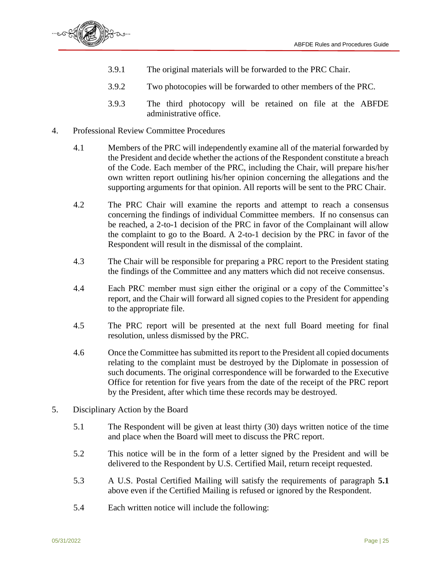

- 3.9.1 The original materials will be forwarded to the PRC Chair.
- 3.9.2 Two photocopies will be forwarded to other members of the PRC.
- 3.9.3 The third photocopy will be retained on file at the ABFDE administrative office.
- 4. Professional Review Committee Procedures
	- 4.1 Members of the PRC will independently examine all of the material forwarded by the President and decide whether the actions of the Respondent constitute a breach of the Code. Each member of the PRC, including the Chair, will prepare his/her own written report outlining his/her opinion concerning the allegations and the supporting arguments for that opinion. All reports will be sent to the PRC Chair.
	- 4.2 The PRC Chair will examine the reports and attempt to reach a consensus concerning the findings of individual Committee members. If no consensus can be reached, a 2-to-1 decision of the PRC in favor of the Complainant will allow the complaint to go to the Board. A 2-to-1 decision by the PRC in favor of the Respondent will result in the dismissal of the complaint.
	- 4.3 The Chair will be responsible for preparing a PRC report to the President stating the findings of the Committee and any matters which did not receive consensus.
	- 4.4 Each PRC member must sign either the original or a copy of the Committee's report, and the Chair will forward all signed copies to the President for appending to the appropriate file.
	- 4.5 The PRC report will be presented at the next full Board meeting for final resolution, unless dismissed by the PRC.
	- 4.6 Once the Committee has submitted its report to the President all copied documents relating to the complaint must be destroyed by the Diplomate in possession of such documents. The original correspondence will be forwarded to the Executive Office for retention for five years from the date of the receipt of the PRC report by the President, after which time these records may be destroyed.
- 5. Disciplinary Action by the Board
	- 5.1 The Respondent will be given at least thirty (30) days written notice of the time and place when the Board will meet to discuss the PRC report.
	- 5.2 This notice will be in the form of a letter signed by the President and will be delivered to the Respondent by U.S. Certified Mail, return receipt requested.
	- 5.3 A U.S. Postal Certified Mailing will satisfy the requirements of paragraph **5.1** above even if the Certified Mailing is refused or ignored by the Respondent.
	- 5.4 Each written notice will include the following: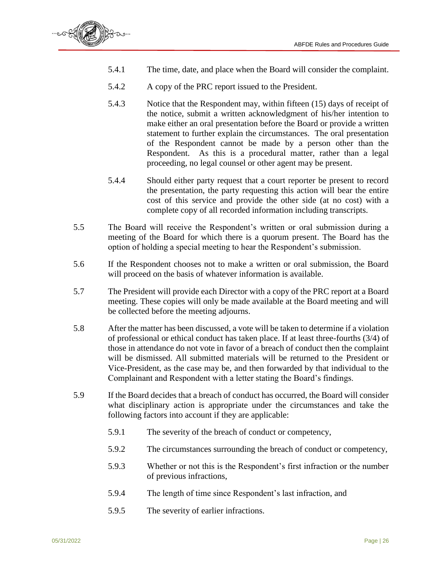

- 5.4.1 The time, date, and place when the Board will consider the complaint.
- 5.4.2 A copy of the PRC report issued to the President.
- 5.4.3 Notice that the Respondent may, within fifteen (15) days of receipt of the notice, submit a written acknowledgment of his/her intention to make either an oral presentation before the Board or provide a written statement to further explain the circumstances. The oral presentation of the Respondent cannot be made by a person other than the Respondent. As this is a procedural matter, rather than a legal proceeding, no legal counsel or other agent may be present.
- 5.4.4 Should either party request that a court reporter be present to record the presentation, the party requesting this action will bear the entire cost of this service and provide the other side (at no cost) with a complete copy of all recorded information including transcripts.
- 5.5 The Board will receive the Respondent's written or oral submission during a meeting of the Board for which there is a quorum present. The Board has the option of holding a special meeting to hear the Respondent's submission.
- 5.6 If the Respondent chooses not to make a written or oral submission, the Board will proceed on the basis of whatever information is available.
- 5.7 The President will provide each Director with a copy of the PRC report at a Board meeting. These copies will only be made available at the Board meeting and will be collected before the meeting adjourns.
- 5.8 After the matter has been discussed, a vote will be taken to determine if a violation of professional or ethical conduct has taken place. If at least three-fourths (3/4) of those in attendance do not vote in favor of a breach of conduct then the complaint will be dismissed. All submitted materials will be returned to the President or Vice-President, as the case may be, and then forwarded by that individual to the Complainant and Respondent with a letter stating the Board's findings.
- 5.9 If the Board decides that a breach of conduct has occurred, the Board will consider what disciplinary action is appropriate under the circumstances and take the following factors into account if they are applicable:
	- 5.9.1 The severity of the breach of conduct or competency,
	- 5.9.2 The circumstances surrounding the breach of conduct or competency,
	- 5.9.3 Whether or not this is the Respondent's first infraction or the number of previous infractions,
	- 5.9.4 The length of time since Respondent's last infraction, and
	- 5.9.5 The severity of earlier infractions.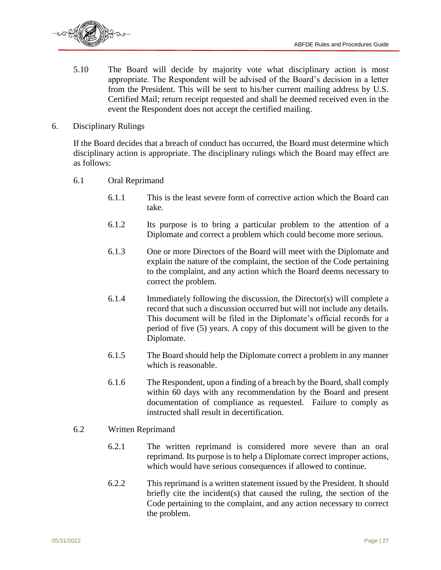

- 5.10 The Board will decide by majority vote what disciplinary action is most appropriate. The Respondent will be advised of the Board's decision in a letter from the President. This will be sent to his/her current mailing address by U.S. Certified Mail; return receipt requested and shall be deemed received even in the event the Respondent does not accept the certified mailing.
- 6. Disciplinary Rulings

If the Board decides that a breach of conduct has occurred, the Board must determine which disciplinary action is appropriate. The disciplinary rulings which the Board may effect are as follows:

- 6.1 Oral Reprimand
	- 6.1.1 This is the least severe form of corrective action which the Board can take.
	- 6.1.2 Its purpose is to bring a particular problem to the attention of a Diplomate and correct a problem which could become more serious.
	- 6.1.3 One or more Directors of the Board will meet with the Diplomate and explain the nature of the complaint, the section of the Code pertaining to the complaint, and any action which the Board deems necessary to correct the problem.
	- 6.1.4 Immediately following the discussion, the Director(s) will complete a record that such a discussion occurred but will not include any details. This document will be filed in the Diplomate's official records for a period of five (5) years. A copy of this document will be given to the Diplomate.
	- 6.1.5 The Board should help the Diplomate correct a problem in any manner which is reasonable.
	- 6.1.6 The Respondent, upon a finding of a breach by the Board, shall comply within 60 days with any recommendation by the Board and present documentation of compliance as requested. Failure to comply as instructed shall result in decertification.
- 6.2 Written Reprimand
	- 6.2.1 The written reprimand is considered more severe than an oral reprimand. Its purpose is to help a Diplomate correct improper actions, which would have serious consequences if allowed to continue.
	- 6.2.2 This reprimand is a written statement issued by the President. It should briefly cite the incident(s) that caused the ruling, the section of the Code pertaining to the complaint, and any action necessary to correct the problem.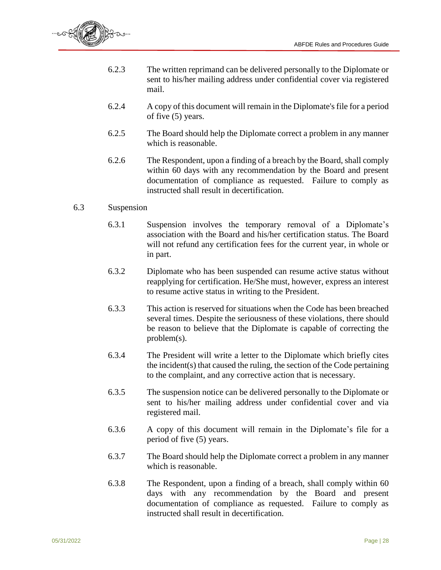

- 6.2.3 The written reprimand can be delivered personally to the Diplomate or sent to his/her mailing address under confidential cover via registered mail.
- 6.2.4 A copy of this document will remain in the Diplomate's file for a period of five (5) years.
- 6.2.5 The Board should help the Diplomate correct a problem in any manner which is reasonable.
- 6.2.6 The Respondent, upon a finding of a breach by the Board, shall comply within 60 days with any recommendation by the Board and present documentation of compliance as requested. Failure to comply as instructed shall result in decertification.

#### 6.3 Suspension

- 6.3.1 Suspension involves the temporary removal of a Diplomate's association with the Board and his/her certification status. The Board will not refund any certification fees for the current year, in whole or in part.
- 6.3.2 Diplomate who has been suspended can resume active status without reapplying for certification. He/She must, however, express an interest to resume active status in writing to the President.
- 6.3.3 This action is reserved for situations when the Code has been breached several times. Despite the seriousness of these violations, there should be reason to believe that the Diplomate is capable of correcting the problem(s).
- 6.3.4 The President will write a letter to the Diplomate which briefly cites the incident(s) that caused the ruling, the section of the Code pertaining to the complaint, and any corrective action that is necessary.
- 6.3.5 The suspension notice can be delivered personally to the Diplomate or sent to his/her mailing address under confidential cover and via registered mail.
- 6.3.6 A copy of this document will remain in the Diplomate's file for a period of five (5) years.
- 6.3.7 The Board should help the Diplomate correct a problem in any manner which is reasonable.
- 6.3.8 The Respondent, upon a finding of a breach, shall comply within 60 days with any recommendation by the Board and present documentation of compliance as requested. Failure to comply as instructed shall result in decertification.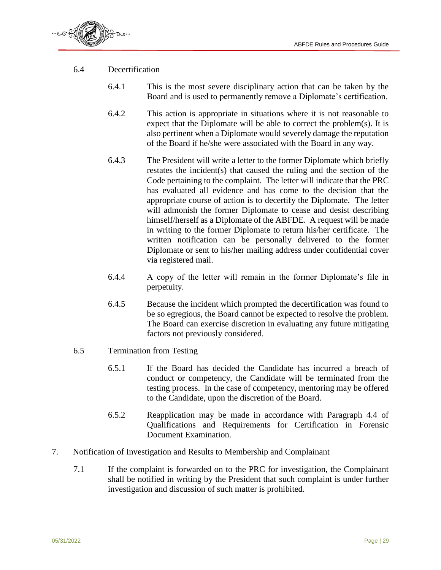

- 6.4 Decertification
	- 6.4.1 This is the most severe disciplinary action that can be taken by the Board and is used to permanently remove a Diplomate's certification.
	- 6.4.2 This action is appropriate in situations where it is not reasonable to expect that the Diplomate will be able to correct the problem(s). It is also pertinent when a Diplomate would severely damage the reputation of the Board if he/she were associated with the Board in any way.
	- 6.4.3 The President will write a letter to the former Diplomate which briefly restates the incident(s) that caused the ruling and the section of the Code pertaining to the complaint. The letter will indicate that the PRC has evaluated all evidence and has come to the decision that the appropriate course of action is to decertify the Diplomate. The letter will admonish the former Diplomate to cease and desist describing himself/herself as a Diplomate of the ABFDE. A request will be made in writing to the former Diplomate to return his/her certificate. The written notification can be personally delivered to the former Diplomate or sent to his/her mailing address under confidential cover via registered mail.
	- 6.4.4 A copy of the letter will remain in the former Diplomate's file in perpetuity.
	- 6.4.5 Because the incident which prompted the decertification was found to be so egregious, the Board cannot be expected to resolve the problem. The Board can exercise discretion in evaluating any future mitigating factors not previously considered.
- 6.5 Termination from Testing
	- 6.5.1 If the Board has decided the Candidate has incurred a breach of conduct or competency, the Candidate will be terminated from the testing process. In the case of competency, mentoring may be offered to the Candidate, upon the discretion of the Board.
	- 6.5.2 Reapplication may be made in accordance with Paragraph 4.4 of Qualifications and Requirements for Certification in Forensic Document Examination.
- 7. Notification of Investigation and Results to Membership and Complainant
	- 7.1 If the complaint is forwarded on to the PRC for investigation, the Complainant shall be notified in writing by the President that such complaint is under further investigation and discussion of such matter is prohibited.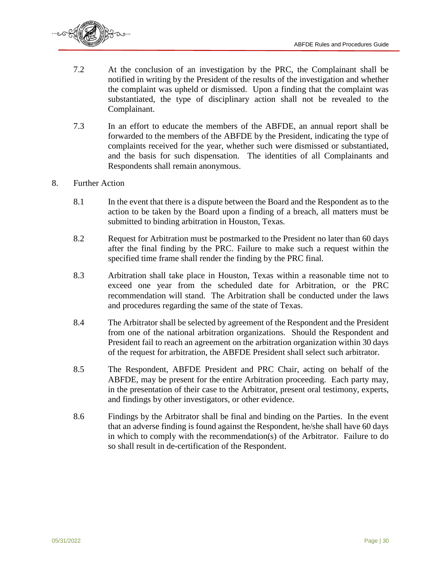

- 7.2 At the conclusion of an investigation by the PRC, the Complainant shall be notified in writing by the President of the results of the investigation and whether the complaint was upheld or dismissed. Upon a finding that the complaint was substantiated, the type of disciplinary action shall not be revealed to the Complainant.
- 7.3 In an effort to educate the members of the ABFDE, an annual report shall be forwarded to the members of the ABFDE by the President, indicating the type of complaints received for the year, whether such were dismissed or substantiated, and the basis for such dispensation. The identities of all Complainants and Respondents shall remain anonymous.
- 8. Further Action
	- 8.1 In the event that there is a dispute between the Board and the Respondent as to the action to be taken by the Board upon a finding of a breach, all matters must be submitted to binding arbitration in Houston, Texas.
	- 8.2 Request for Arbitration must be postmarked to the President no later than 60 days after the final finding by the PRC. Failure to make such a request within the specified time frame shall render the finding by the PRC final.
	- 8.3 Arbitration shall take place in Houston, Texas within a reasonable time not to exceed one year from the scheduled date for Arbitration, or the PRC recommendation will stand. The Arbitration shall be conducted under the laws and procedures regarding the same of the state of Texas.
	- 8.4 The Arbitrator shall be selected by agreement of the Respondent and the President from one of the national arbitration organizations. Should the Respondent and President fail to reach an agreement on the arbitration organization within 30 days of the request for arbitration, the ABFDE President shall select such arbitrator.
	- 8.5 The Respondent, ABFDE President and PRC Chair, acting on behalf of the ABFDE, may be present for the entire Arbitration proceeding. Each party may, in the presentation of their case to the Arbitrator, present oral testimony, experts, and findings by other investigators, or other evidence.
	- 8.6 Findings by the Arbitrator shall be final and binding on the Parties. In the event that an adverse finding is found against the Respondent, he/she shall have 60 days in which to comply with the recommendation(s) of the Arbitrator. Failure to do so shall result in de-certification of the Respondent.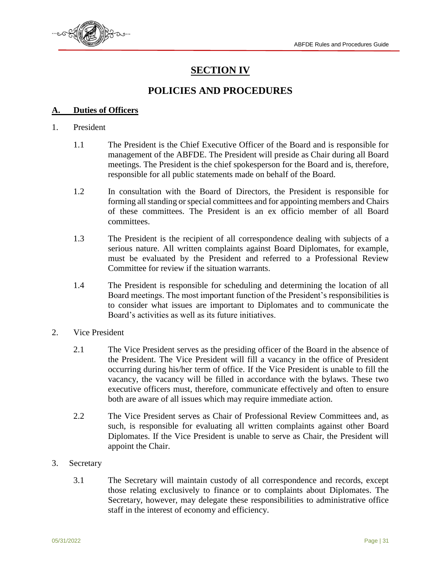

# **SECTION IV**

### **POLICIES AND PROCEDURES**

#### **A. Duties of Officers**

#### 1. President

- 1.1 The President is the Chief Executive Officer of the Board and is responsible for management of the ABFDE. The President will preside as Chair during all Board meetings. The President is the chief spokesperson for the Board and is, therefore, responsible for all public statements made on behalf of the Board.
- 1.2 In consultation with the Board of Directors, the President is responsible for forming all standing or special committees and for appointing members and Chairs of these committees. The President is an ex officio member of all Board committees.
- 1.3 The President is the recipient of all correspondence dealing with subjects of a serious nature. All written complaints against Board Diplomates, for example, must be evaluated by the President and referred to a Professional Review Committee for review if the situation warrants.
- 1.4 The President is responsible for scheduling and determining the location of all Board meetings. The most important function of the President's responsibilities is to consider what issues are important to Diplomates and to communicate the Board's activities as well as its future initiatives.
- 2. Vice President
	- 2.1 The Vice President serves as the presiding officer of the Board in the absence of the President. The Vice President will fill a vacancy in the office of President occurring during his/her term of office. If the Vice President is unable to fill the vacancy, the vacancy will be filled in accordance with the bylaws. These two executive officers must, therefore, communicate effectively and often to ensure both are aware of all issues which may require immediate action.
	- 2.2 The Vice President serves as Chair of Professional Review Committees and, as such, is responsible for evaluating all written complaints against other Board Diplomates. If the Vice President is unable to serve as Chair, the President will appoint the Chair.
- 3. Secretary
	- 3.1 The Secretary will maintain custody of all correspondence and records, except those relating exclusively to finance or to complaints about Diplomates. The Secretary, however, may delegate these responsibilities to administrative office staff in the interest of economy and efficiency.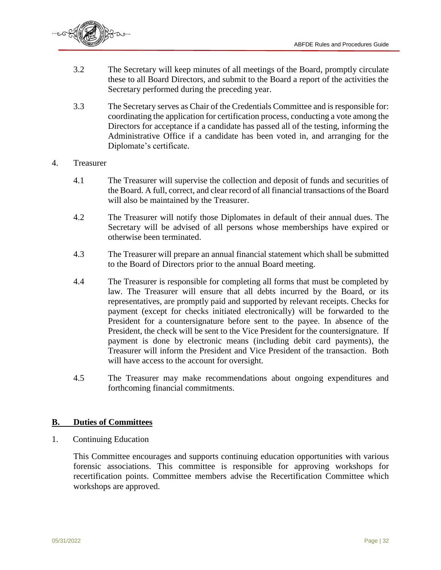

- 3.2 The Secretary will keep minutes of all meetings of the Board, promptly circulate these to all Board Directors, and submit to the Board a report of the activities the Secretary performed during the preceding year.
- 3.3 The Secretary serves as Chair of the Credentials Committee and is responsible for: coordinating the application for certification process, conducting a vote among the Directors for acceptance if a candidate has passed all of the testing, informing the Administrative Office if a candidate has been voted in, and arranging for the Diplomate's certificate.

#### 4. Treasurer

- 4.1 The Treasurer will supervise the collection and deposit of funds and securities of the Board. A full, correct, and clear record of all financial transactions of the Board will also be maintained by the Treasurer.
- 4.2 The Treasurer will notify those Diplomates in default of their annual dues. The Secretary will be advised of all persons whose memberships have expired or otherwise been terminated.
- 4.3 The Treasurer will prepare an annual financial statement which shall be submitted to the Board of Directors prior to the annual Board meeting.
- 4.4 The Treasurer is responsible for completing all forms that must be completed by law. The Treasurer will ensure that all debts incurred by the Board, or its representatives, are promptly paid and supported by relevant receipts. Checks for payment (except for checks initiated electronically) will be forwarded to the President for a countersignature before sent to the payee. In absence of the President, the check will be sent to the Vice President for the countersignature. If payment is done by electronic means (including debit card payments), the Treasurer will inform the President and Vice President of the transaction. Both will have access to the account for oversight.
- 4.5 The Treasurer may make recommendations about ongoing expenditures and forthcoming financial commitments.

#### **B. Duties of Committees**

1. Continuing Education

This Committee encourages and supports continuing education opportunities with various forensic associations. This committee is responsible for approving workshops for recertification points. Committee members advise the Recertification Committee which workshops are approved.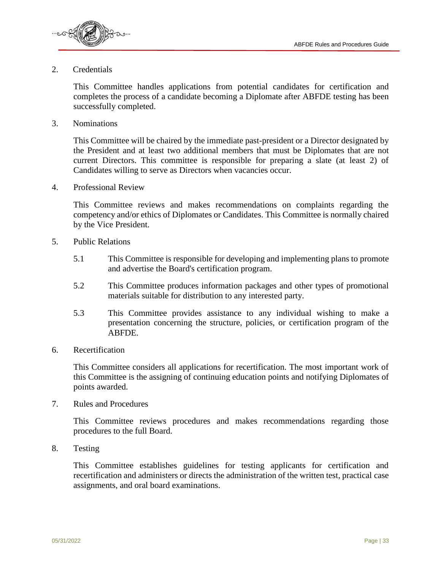

#### 2. Credentials

This Committee handles applications from potential candidates for certification and completes the process of a candidate becoming a Diplomate after ABFDE testing has been successfully completed.

3. Nominations

This Committee will be chaired by the immediate past-president or a Director designated by the President and at least two additional members that must be Diplomates that are not current Directors. This committee is responsible for preparing a slate (at least 2) of Candidates willing to serve as Directors when vacancies occur.

4. Professional Review

This Committee reviews and makes recommendations on complaints regarding the competency and/or ethics of Diplomates or Candidates. This Committee is normally chaired by the Vice President.

- 5. Public Relations
	- 5.1 This Committee is responsible for developing and implementing plans to promote and advertise the Board's certification program.
	- 5.2 This Committee produces information packages and other types of promotional materials suitable for distribution to any interested party.
	- 5.3 This Committee provides assistance to any individual wishing to make a presentation concerning the structure, policies, or certification program of the ABFDE.
- 6. Recertification

This Committee considers all applications for recertification. The most important work of this Committee is the assigning of continuing education points and notifying Diplomates of points awarded.

7. Rules and Procedures

This Committee reviews procedures and makes recommendations regarding those procedures to the full Board.

8. Testing

This Committee establishes guidelines for testing applicants for certification and recertification and administers or directs the administration of the written test, practical case assignments, and oral board examinations.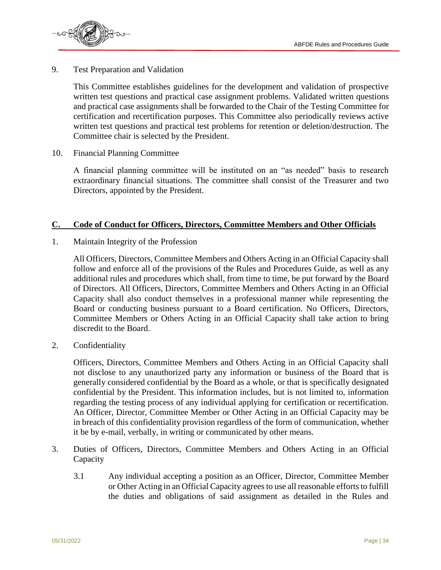

9. Test Preparation and Validation

This Committee establishes guidelines for the development and validation of prospective written test questions and practical case assignment problems. Validated written questions and practical case assignments shall be forwarded to the Chair of the Testing Committee for certification and recertification purposes. This Committee also periodically reviews active written test questions and practical test problems for retention or deletion/destruction. The Committee chair is selected by the President.

10. Financial Planning Committee

A financial planning committee will be instituted on an "as needed" basis to research extraordinary financial situations. The committee shall consist of the Treasurer and two Directors, appointed by the President.

#### **C. Code of Conduct for Officers, Directors, Committee Members and Other Officials**

1. Maintain Integrity of the Profession

All Officers, Directors, Committee Members and Others Acting in an Official Capacity shall follow and enforce all of the provisions of the Rules and Procedures Guide, as well as any additional rules and procedures which shall, from time to time, be put forward by the Board of Directors. All Officers, Directors, Committee Members and Others Acting in an Official Capacity shall also conduct themselves in a professional manner while representing the Board or conducting business pursuant to a Board certification. No Officers, Directors, Committee Members or Others Acting in an Official Capacity shall take action to bring discredit to the Board.

2. Confidentiality

Officers, Directors, Committee Members and Others Acting in an Official Capacity shall not disclose to any unauthorized party any information or business of the Board that is generally considered confidential by the Board as a whole, or that is specifically designated confidential by the President. This information includes, but is not limited to, information regarding the testing process of any individual applying for certification or recertification. An Officer, Director, Committee Member or Other Acting in an Official Capacity may be in breach of this confidentiality provision regardless of the form of communication, whether it be by e-mail, verbally, in writing or communicated by other means.

- 3. Duties of Officers, Directors, Committee Members and Others Acting in an Official Capacity
	- 3.1 Any individual accepting a position as an Officer, Director, Committee Member or Other Acting in an Official Capacity agrees to use all reasonable efforts to fulfill the duties and obligations of said assignment as detailed in the Rules and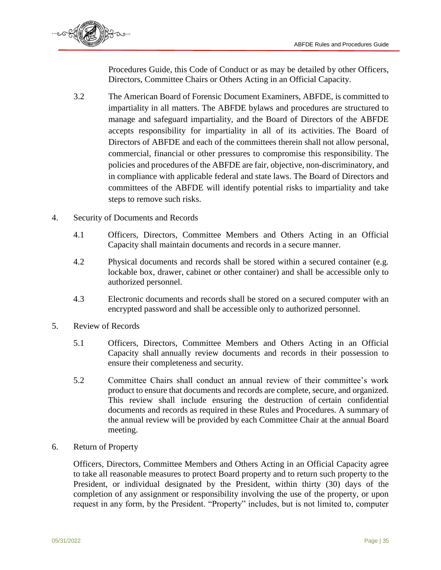

Procedures Guide, this Code of Conduct or as may be detailed by other Officers, Directors, Committee Chairs or Others Acting in an Official Capacity.

- 3.2 The American Board of Forensic Document Examiners, ABFDE, is committed to impartiality in all matters. The ABFDE bylaws and procedures are structured to manage and safeguard impartiality, and the Board of Directors of the ABFDE accepts responsibility for impartiality in all of its activities. The Board of Directors of ABFDE and each of the committees therein shall not allow personal, commercial, financial or other pressures to compromise this responsibility. The policies and procedures of the ABFDE are fair, objective, non-discriminatory, and in compliance with applicable federal and state laws. The Board of Directors and committees of the ABFDE will identify potential risks to impartiality and take steps to remove such risks.
- 4. Security of Documents and Records
	- 4.1 Officers, Directors, Committee Members and Others Acting in an Official Capacity shall maintain documents and records in a secure manner.
	- 4.2 Physical documents and records shall be stored within a secured container (e.g. lockable box, drawer, cabinet or other container) and shall be accessible only to authorized personnel.
	- 4.3 Electronic documents and records shall be stored on a secured computer with an encrypted password and shall be accessible only to authorized personnel.
- 5. Review of Records
	- 5.1 Officers, Directors, Committee Members and Others Acting in an Official Capacity shall annually review documents and records in their possession to ensure their completeness and security.
	- 5.2 Committee Chairs shall conduct an annual review of their committee's work product to ensure that documents and records are complete, secure, and organized. This review shall include ensuring the destruction of certain confidential documents and records as required in these Rules and Procedures. A summary of the annual review will be provided by each Committee Chair at the annual Board meeting.
- 6. Return of Property

Officers, Directors, Committee Members and Others Acting in an Official Capacity agree to take all reasonable measures to protect Board property and to return such property to the President, or individual designated by the President, within thirty (30) days of the completion of any assignment or responsibility involving the use of the property, or upon request in any form, by the President. "Property" includes, but is not limited to, computer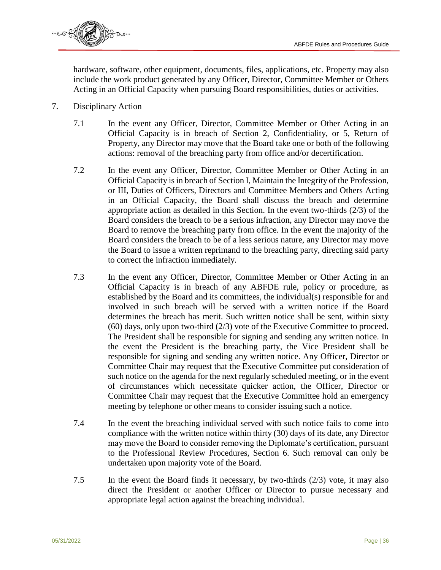

hardware, software, other equipment, documents, files, applications, etc. Property may also include the work product generated by any Officer, Director, Committee Member or Others Acting in an Official Capacity when pursuing Board responsibilities, duties or activities.

- 7. Disciplinary Action
	- 7.1 In the event any Officer, Director, Committee Member or Other Acting in an Official Capacity is in breach of Section 2, Confidentiality, or 5, Return of Property, any Director may move that the Board take one or both of the following actions: removal of the breaching party from office and/or decertification.
	- 7.2 In the event any Officer, Director, Committee Member or Other Acting in an Official Capacity is in breach of Section I, Maintain the Integrity of the Profession, or III, Duties of Officers, Directors and Committee Members and Others Acting in an Official Capacity, the Board shall discuss the breach and determine appropriate action as detailed in this Section. In the event two-thirds (2/3) of the Board considers the breach to be a serious infraction, any Director may move the Board to remove the breaching party from office. In the event the majority of the Board considers the breach to be of a less serious nature, any Director may move the Board to issue a written reprimand to the breaching party, directing said party to correct the infraction immediately.
	- 7.3 In the event any Officer, Director, Committee Member or Other Acting in an Official Capacity is in breach of any ABFDE rule, policy or procedure, as established by the Board and its committees, the individual(s) responsible for and involved in such breach will be served with a written notice if the Board determines the breach has merit. Such written notice shall be sent, within sixty (60) days, only upon two-third (2/3) vote of the Executive Committee to proceed. The President shall be responsible for signing and sending any written notice. In the event the President is the breaching party, the Vice President shall be responsible for signing and sending any written notice. Any Officer, Director or Committee Chair may request that the Executive Committee put consideration of such notice on the agenda for the next regularly scheduled meeting, or in the event of circumstances which necessitate quicker action, the Officer, Director or Committee Chair may request that the Executive Committee hold an emergency meeting by telephone or other means to consider issuing such a notice.
	- 7.4 In the event the breaching individual served with such notice fails to come into compliance with the written notice within thirty (30) days of its date, any Director may move the Board to consider removing the Diplomate's certification, pursuant to the Professional Review Procedures, Section 6. Such removal can only be undertaken upon majority vote of the Board.
	- 7.5 In the event the Board finds it necessary, by two-thirds (2/3) vote, it may also direct the President or another Officer or Director to pursue necessary and appropriate legal action against the breaching individual.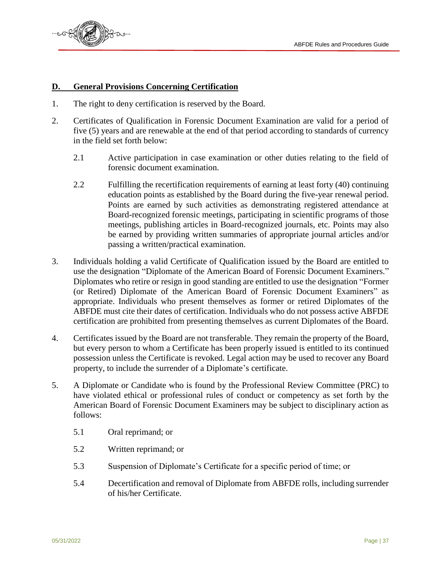

#### **D. General Provisions Concerning Certification**

- 1. The right to deny certification is reserved by the Board.
- 2. Certificates of Qualification in Forensic Document Examination are valid for a period of five (5) years and are renewable at the end of that period according to standards of currency in the field set forth below:
	- 2.1 Active participation in case examination or other duties relating to the field of forensic document examination.
	- 2.2 Fulfilling the recertification requirements of earning at least forty (40) continuing education points as established by the Board during the five-year renewal period. Points are earned by such activities as demonstrating registered attendance at Board-recognized forensic meetings, participating in scientific programs of those meetings, publishing articles in Board-recognized journals, etc. Points may also be earned by providing written summaries of appropriate journal articles and/or passing a written/practical examination.
- 3. Individuals holding a valid Certificate of Qualification issued by the Board are entitled to use the designation "Diplomate of the American Board of Forensic Document Examiners." Diplomates who retire or resign in good standing are entitled to use the designation "Former (or Retired) Diplomate of the American Board of Forensic Document Examiners" as appropriate. Individuals who present themselves as former or retired Diplomates of the ABFDE must cite their dates of certification. Individuals who do not possess active ABFDE certification are prohibited from presenting themselves as current Diplomates of the Board.
- 4. Certificates issued by the Board are not transferable. They remain the property of the Board, but every person to whom a Certificate has been properly issued is entitled to its continued possession unless the Certificate is revoked. Legal action may be used to recover any Board property, to include the surrender of a Diplomate's certificate.
- 5. A Diplomate or Candidate who is found by the Professional Review Committee (PRC) to have violated ethical or professional rules of conduct or competency as set forth by the American Board of Forensic Document Examiners may be subject to disciplinary action as follows:
	- 5.1 Oral reprimand; or
	- 5.2 Written reprimand; or
	- 5.3 Suspension of Diplomate's Certificate for a specific period of time; or
	- 5.4 Decertification and removal of Diplomate from ABFDE rolls, including surrender of his/her Certificate.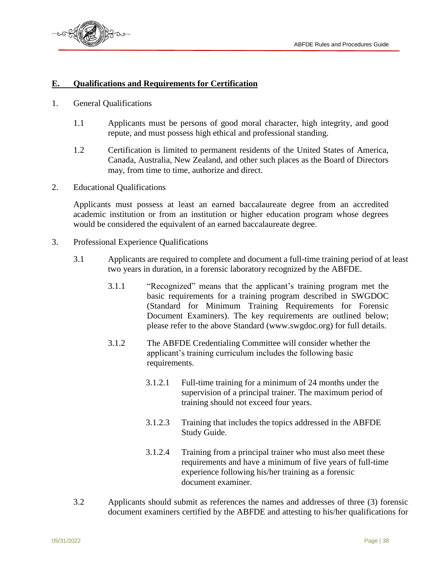

#### **E. Qualifications and Requirements for Certification**

- 1. General Qualifications
	- 1.1 Applicants must be persons of good moral character, high integrity, and good repute, and must possess high ethical and professional standing.
	- 1.2 Certification is limited to permanent residents of the United States of America, Canada, Australia, New Zealand, and other such places as the Board of Directors may, from time to time, authorize and direct.
- 2. Educational Qualifications

Applicants must possess at least an earned baccalaureate degree from an accredited academic institution or from an institution or higher education program whose degrees would be considered the equivalent of an earned baccalaureate degree.

- 3. Professional Experience Qualifications
	- 3.1 Applicants are required to complete and document a full-time training period of at least two years in duration, in a forensic laboratory recognized by the ABFDE.
		- 3.1.1 "Recognized" means that the applicant's training program met the basic requirements for a training program described in SWGDOC (Standard for Minimum Training Requirements for Forensic Document Examiners). The key requirements are outlined below; please refer to the above Standard (www.swgdoc.org) for full details.
		- 3.1.2 The ABFDE Credentialing Committee will consider whether the applicant's training curriculum includes the following basic requirements.
			- 3.1.2.1 Full-time training for a minimum of 24 months under the supervision of a principal trainer. The maximum period of training should not exceed four years.
			- 3.1.2.3 Training that includes the topics addressed in the ABFDE Study Guide.
			- 3.1.2.4 Training from a principal trainer who must also meet these requirements and have a minimum of five years of full-time experience following his/her training as a forensic document examiner.
	- 3.2 Applicants should submit as references the names and addresses of three (3) forensic document examiners certified by the ABFDE and attesting to his/her qualifications for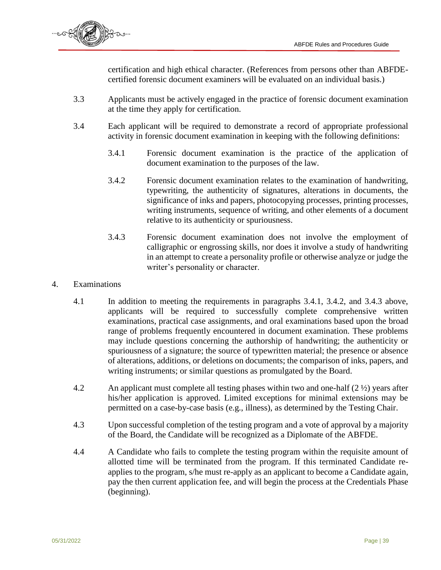

certification and high ethical character. (References from persons other than ABFDEcertified forensic document examiners will be evaluated on an individual basis.)

- 3.3 Applicants must be actively engaged in the practice of forensic document examination at the time they apply for certification.
- 3.4 Each applicant will be required to demonstrate a record of appropriate professional activity in forensic document examination in keeping with the following definitions:
	- 3.4.1 Forensic document examination is the practice of the application of document examination to the purposes of the law.
	- 3.4.2 Forensic document examination relates to the examination of handwriting, typewriting, the authenticity of signatures, alterations in documents, the significance of inks and papers, photocopying processes, printing processes, writing instruments, sequence of writing, and other elements of a document relative to its authenticity or spuriousness.
	- 3.4.3 Forensic document examination does not involve the employment of calligraphic or engrossing skills, nor does it involve a study of handwriting in an attempt to create a personality profile or otherwise analyze or judge the writer's personality or character.
- 4. Examinations
	- 4.1 In addition to meeting the requirements in paragraphs 3.4.1, 3.4.2, and 3.4.3 above, applicants will be required to successfully complete comprehensive written examinations, practical case assignments, and oral examinations based upon the broad range of problems frequently encountered in document examination. These problems may include questions concerning the authorship of handwriting; the authenticity or spuriousness of a signature; the source of typewritten material; the presence or absence of alterations, additions, or deletions on documents; the comparison of inks, papers, and writing instruments; or similar questions as promulgated by the Board.
	- 4.2 An applicant must complete all testing phases within two and one-half (2 ½) years after his/her application is approved. Limited exceptions for minimal extensions may be permitted on a case-by-case basis (e.g., illness), as determined by the Testing Chair.
	- 4.3 Upon successful completion of the testing program and a vote of approval by a majority of the Board, the Candidate will be recognized as a Diplomate of the ABFDE.
	- 4.4 A Candidate who fails to complete the testing program within the requisite amount of allotted time will be terminated from the program. If this terminated Candidate reapplies to the program, s/he must re-apply as an applicant to become a Candidate again, pay the then current application fee, and will begin the process at the Credentials Phase (beginning).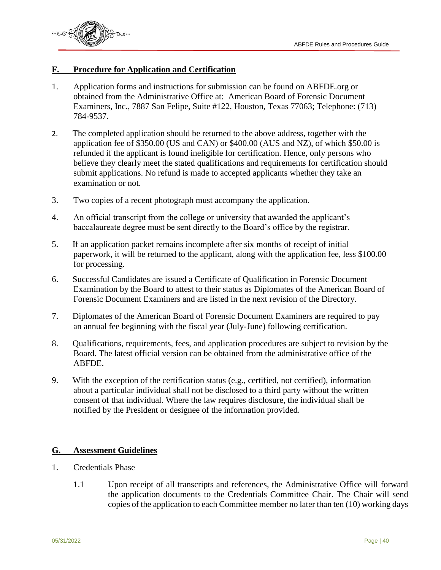

#### **F. Procedure for Application and Certification**

- 1. Application forms and instructions for submission can be found on ABFDE.org or obtained from the Administrative Office at: American Board of Forensic Document Examiners, Inc., 7887 San Felipe, Suite #122, Houston, Texas 77063; Telephone: (713) 784-9537.
- 2. The completed application should be returned to the above address, together with the application fee of \$350.00 (US and CAN) or \$400.00 (AUS and NZ), of which \$50.00 is refunded if the applicant is found ineligible for certification. Hence, only persons who believe they clearly meet the stated qualifications and requirements for certification should submit applications. No refund is made to accepted applicants whether they take an examination or not.
- 3. Two copies of a recent photograph must accompany the application.
- 4. An official transcript from the college or university that awarded the applicant's baccalaureate degree must be sent directly to the Board's office by the registrar.
- 5. If an application packet remains incomplete after six months of receipt of initial paperwork, it will be returned to the applicant, along with the application fee, less \$100.00 for processing.
- 6. Successful Candidates are issued a Certificate of Qualification in Forensic Document Examination by the Board to attest to their status as Diplomates of the American Board of Forensic Document Examiners and are listed in the next revision of the Directory.
- 7. Diplomates of the American Board of Forensic Document Examiners are required to pay an annual fee beginning with the fiscal year (July-June) following certification.
- 8. Qualifications, requirements, fees, and application procedures are subject to revision by the Board. The latest official version can be obtained from the administrative office of the ABFDE.
- 9. With the exception of the certification status (e.g., certified, not certified), information about a particular individual shall not be disclosed to a third party without the written consent of that individual. Where the law requires disclosure, the individual shall be notified by the President or designee of the information provided.

#### **G. Assessment Guidelines**

- 1. Credentials Phase
	- 1.1 Upon receipt of all transcripts and references, the Administrative Office will forward the application documents to the Credentials Committee Chair. The Chair will send copies of the application to each Committee member no later than ten (10) working days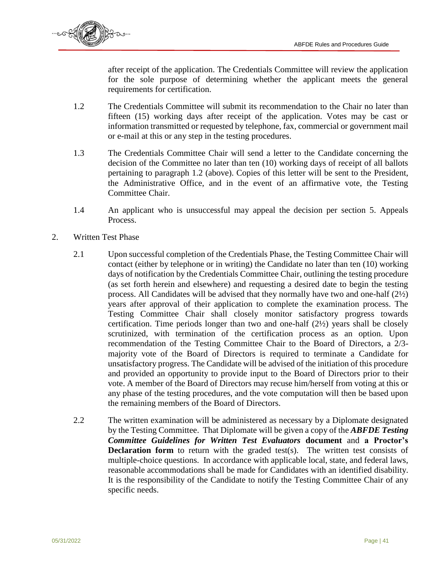

after receipt of the application. The Credentials Committee will review the application for the sole purpose of determining whether the applicant meets the general requirements for certification.

- 1.2 The Credentials Committee will submit its recommendation to the Chair no later than fifteen (15) working days after receipt of the application. Votes may be cast or information transmitted or requested by telephone, fax, commercial or government mail or e-mail at this or any step in the testing procedures.
- 1.3 The Credentials Committee Chair will send a letter to the Candidate concerning the decision of the Committee no later than ten (10) working days of receipt of all ballots pertaining to paragraph 1.2 (above). Copies of this letter will be sent to the President, the Administrative Office, and in the event of an affirmative vote, the Testing Committee Chair.
- 1.4 An applicant who is unsuccessful may appeal the decision per section 5. Appeals Process.
- 2. Written Test Phase
	- 2.1 Upon successful completion of the Credentials Phase, the Testing Committee Chair will contact (either by telephone or in writing) the Candidate no later than ten (10) working days of notification by the Credentials Committee Chair, outlining the testing procedure (as set forth herein and elsewhere) and requesting a desired date to begin the testing process. All Candidates will be advised that they normally have two and one-half (2½) years after approval of their application to complete the examination process. The Testing Committee Chair shall closely monitor satisfactory progress towards certification. Time periods longer than two and one-half (2½) years shall be closely scrutinized, with termination of the certification process as an option. Upon recommendation of the Testing Committee Chair to the Board of Directors, a 2/3 majority vote of the Board of Directors is required to terminate a Candidate for unsatisfactory progress. The Candidate will be advised of the initiation of this procedure and provided an opportunity to provide input to the Board of Directors prior to their vote. A member of the Board of Directors may recuse him/herself from voting at this or any phase of the testing procedures, and the vote computation will then be based upon the remaining members of the Board of Directors.
	- 2.2 The written examination will be administered as necessary by a Diplomate designated by the Testing Committee. That Diplomate will be given a copy of the *ABFDE Testing Committee Guidelines for Written Test Evaluators* **document** and **a Proctor's Declaration form** to return with the graded test(s). The written test consists of multiple-choice questions. In accordance with applicable local, state, and federal laws, reasonable accommodations shall be made for Candidates with an identified disability. It is the responsibility of the Candidate to notify the Testing Committee Chair of any specific needs.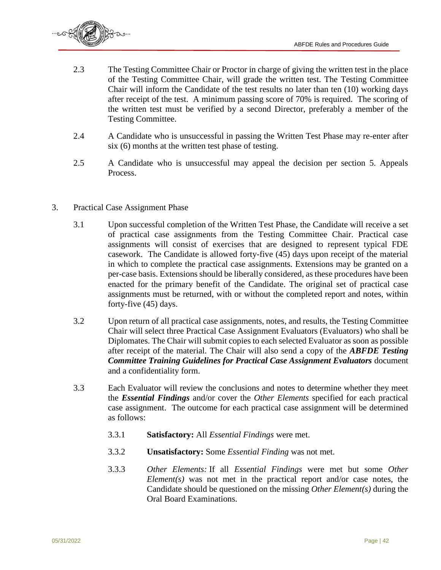

- 2.3 The Testing Committee Chair or Proctor in charge of giving the written test in the place of the Testing Committee Chair, will grade the written test. The Testing Committee Chair will inform the Candidate of the test results no later than ten (10) working days after receipt of the test. A minimum passing score of 70% is required. The scoring of the written test must be verified by a second Director, preferably a member of the Testing Committee.
- 2.4 A Candidate who is unsuccessful in passing the Written Test Phase may re-enter after six (6) months at the written test phase of testing.
- 2.5 A Candidate who is unsuccessful may appeal the decision per section 5. Appeals Process.
- 3. Practical Case Assignment Phase
	- 3.1 Upon successful completion of the Written Test Phase, the Candidate will receive a set of practical case assignments from the Testing Committee Chair. Practical case assignments will consist of exercises that are designed to represent typical FDE casework. The Candidate is allowed forty-five (45) days upon receipt of the material in which to complete the practical case assignments. Extensions may be granted on a per-case basis. Extensions should be liberally considered, as these procedures have been enacted for the primary benefit of the Candidate. The original set of practical case assignments must be returned, with or without the completed report and notes, within forty-five (45) days.
	- 3.2 Upon return of all practical case assignments, notes, and results, the Testing Committee Chair will select three Practical Case Assignment Evaluators (Evaluators) who shall be Diplomates. The Chair will submit copies to each selected Evaluator as soon as possible after receipt of the material. The Chair will also send a copy of the *ABFDE Testing Committee Training Guidelines for Practical Case Assignment Evaluators* document and a confidentiality form.
	- 3.3 Each Evaluator will review the conclusions and notes to determine whether they meet the *Essential Findings* and/or cover the *Other Elements* specified for each practical case assignment. The outcome for each practical case assignment will be determined as follows:
		- 3.3.1 **Satisfactory:** All *Essential Findings* were met.
		- 3.3.2 **Unsatisfactory:** Some *Essential Finding* was not met.
		- 3.3.3 *Other Elements:* If all *Essential Findings* were met but some *Other Element(s)* was not met in the practical report and/or case notes, the Candidate should be questioned on the missing *Other Element(s)* during the Oral Board Examinations.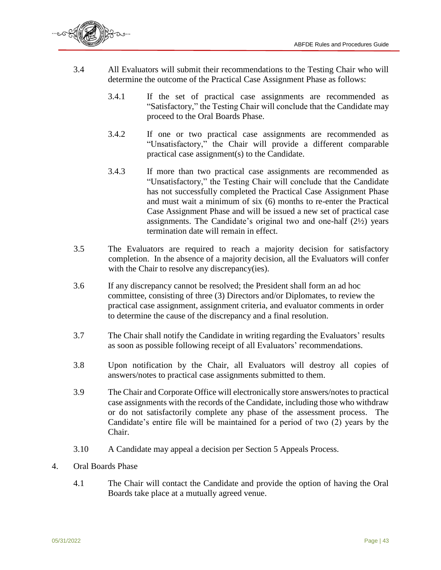

- 3.4 All Evaluators will submit their recommendations to the Testing Chair who will determine the outcome of the Practical Case Assignment Phase as follows:
	- 3.4.1 If the set of practical case assignments are recommended as "Satisfactory," the Testing Chair will conclude that the Candidate may proceed to the Oral Boards Phase.
	- 3.4.2 If one or two practical case assignments are recommended as "Unsatisfactory," the Chair will provide a different comparable practical case assignment(s) to the Candidate.
	- 3.4.3 If more than two practical case assignments are recommended as "Unsatisfactory," the Testing Chair will conclude that the Candidate has not successfully completed the Practical Case Assignment Phase and must wait a minimum of six (6) months to re-enter the Practical Case Assignment Phase and will be issued a new set of practical case assignments. The Candidate's original two and one-half (2½) years termination date will remain in effect.
- 3.5 The Evaluators are required to reach a majority decision for satisfactory completion. In the absence of a majority decision, all the Evaluators will confer with the Chair to resolve any discrepancy(ies).
- 3.6 If any discrepancy cannot be resolved; the President shall form an ad hoc committee, consisting of three (3) Directors and/or Diplomates, to review the practical case assignment, assignment criteria, and evaluator comments in order to determine the cause of the discrepancy and a final resolution.
- 3.7 The Chair shall notify the Candidate in writing regarding the Evaluators' results as soon as possible following receipt of all Evaluators' recommendations.
- 3.8 Upon notification by the Chair, all Evaluators will destroy all copies of answers/notes to practical case assignments submitted to them.
- 3.9 The Chair and Corporate Office will electronically store answers/notes to practical case assignments with the records of the Candidate, including those who withdraw or do not satisfactorily complete any phase of the assessment process. The Candidate's entire file will be maintained for a period of two (2) years by the Chair.
- 3.10 A Candidate may appeal a decision per Section 5 Appeals Process.
- 4. Oral Boards Phase
	- 4.1 The Chair will contact the Candidate and provide the option of having the Oral Boards take place at a mutually agreed venue.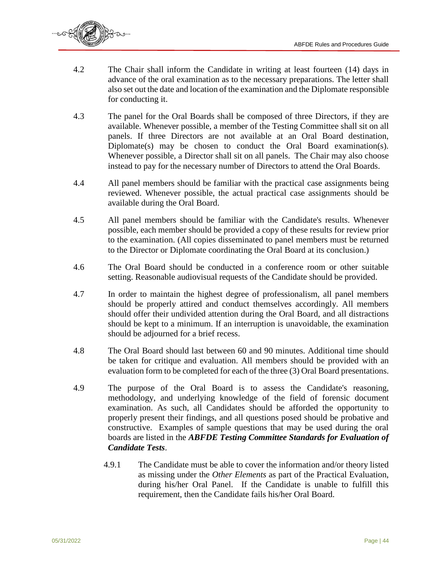

- 4.2 The Chair shall inform the Candidate in writing at least fourteen (14) days in advance of the oral examination as to the necessary preparations. The letter shall also set out the date and location of the examination and the Diplomate responsible for conducting it.
- 4.3 The panel for the Oral Boards shall be composed of three Directors, if they are available. Whenever possible, a member of the Testing Committee shall sit on all panels. If three Directors are not available at an Oral Board destination, Diplomate(s) may be chosen to conduct the Oral Board examination(s). Whenever possible, a Director shall sit on all panels. The Chair may also choose instead to pay for the necessary number of Directors to attend the Oral Boards.
- 4.4 All panel members should be familiar with the practical case assignments being reviewed. Whenever possible, the actual practical case assignments should be available during the Oral Board.
- 4.5 All panel members should be familiar with the Candidate's results. Whenever possible, each member should be provided a copy of these results for review prior to the examination. (All copies disseminated to panel members must be returned to the Director or Diplomate coordinating the Oral Board at its conclusion.)
- 4.6 The Oral Board should be conducted in a conference room or other suitable setting. Reasonable audiovisual requests of the Candidate should be provided.
- 4.7 In order to maintain the highest degree of professionalism, all panel members should be properly attired and conduct themselves accordingly. All members should offer their undivided attention during the Oral Board, and all distractions should be kept to a minimum. If an interruption is unavoidable, the examination should be adjourned for a brief recess.
- 4.8 The Oral Board should last between 60 and 90 minutes. Additional time should be taken for critique and evaluation. All members should be provided with an evaluation form to be completed for each of the three (3) Oral Board presentations.
- 4.9 The purpose of the Oral Board is to assess the Candidate's reasoning, methodology, and underlying knowledge of the field of forensic document examination. As such, all Candidates should be afforded the opportunity to properly present their findings, and all questions posed should be probative and constructive. Examples of sample questions that may be used during the oral boards are listed in the *ABFDE Testing Committee Standards for Evaluation of Candidate Tests*.
	- 4.9.1 The Candidate must be able to cover the information and/or theory listed as missing under the *Other Elements* as part of the Practical Evaluation, during his/her Oral Panel. If the Candidate is unable to fulfill this requirement, then the Candidate fails his/her Oral Board.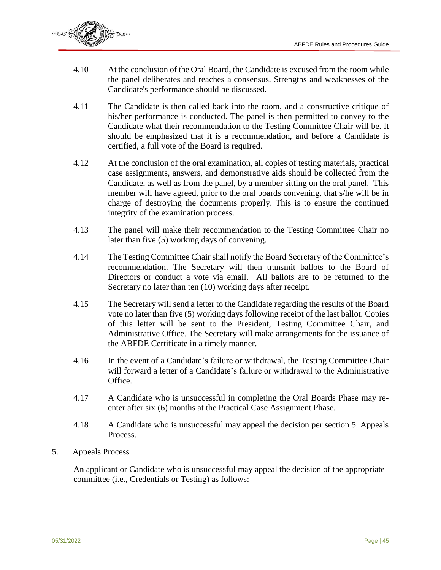

- 4.10 At the conclusion of the Oral Board, the Candidate is excused from the room while the panel deliberates and reaches a consensus. Strengths and weaknesses of the Candidate's performance should be discussed.
- 4.11 The Candidate is then called back into the room, and a constructive critique of his/her performance is conducted. The panel is then permitted to convey to the Candidate what their recommendation to the Testing Committee Chair will be. It should be emphasized that it is a recommendation, and before a Candidate is certified, a full vote of the Board is required.
- 4.12 At the conclusion of the oral examination, all copies of testing materials, practical case assignments, answers, and demonstrative aids should be collected from the Candidate, as well as from the panel, by a member sitting on the oral panel. This member will have agreed, prior to the oral boards convening, that s/he will be in charge of destroying the documents properly. This is to ensure the continued integrity of the examination process.
- 4.13 The panel will make their recommendation to the Testing Committee Chair no later than five (5) working days of convening.
- 4.14 The Testing Committee Chair shall notify the Board Secretary of the Committee's recommendation. The Secretary will then transmit ballots to the Board of Directors or conduct a vote via email. All ballots are to be returned to the Secretary no later than ten (10) working days after receipt.
- 4.15 The Secretary will send a letter to the Candidate regarding the results of the Board vote no later than five (5) working days following receipt of the last ballot. Copies of this letter will be sent to the President, Testing Committee Chair, and Administrative Office. The Secretary will make arrangements for the issuance of the ABFDE Certificate in a timely manner.
- 4.16 In the event of a Candidate's failure or withdrawal, the Testing Committee Chair will forward a letter of a Candidate's failure or withdrawal to the Administrative Office.
- 4.17 A Candidate who is unsuccessful in completing the Oral Boards Phase may reenter after six (6) months at the Practical Case Assignment Phase.
- 4.18 A Candidate who is unsuccessful may appeal the decision per section 5. Appeals Process.
- 5. Appeals Process

An applicant or Candidate who is unsuccessful may appeal the decision of the appropriate committee (i.e., Credentials or Testing) as follows: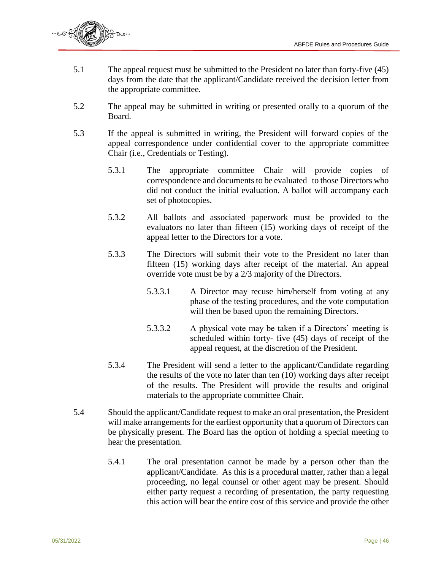

- 5.1 The appeal request must be submitted to the President no later than forty-five (45) days from the date that the applicant/Candidate received the decision letter from the appropriate committee.
- 5.2 The appeal may be submitted in writing or presented orally to a quorum of the Board.
- 5.3 If the appeal is submitted in writing, the President will forward copies of the appeal correspondence under confidential cover to the appropriate committee Chair (i.e., Credentials or Testing).
	- 5.3.1 The appropriate committee Chair will provide copies of correspondence and documents to be evaluated to those Directors who did not conduct the initial evaluation. A ballot will accompany each set of photocopies.
	- 5.3.2 All ballots and associated paperwork must be provided to the evaluators no later than fifteen (15) working days of receipt of the appeal letter to the Directors for a vote.
	- 5.3.3 The Directors will submit their vote to the President no later than fifteen (15) working days after receipt of the material. An appeal override vote must be by a 2/3 majority of the Directors.
		- 5.3.3.1 A Director may recuse him/herself from voting at any phase of the testing procedures, and the vote computation will then be based upon the remaining Directors.
		- 5.3.3.2 A physical vote may be taken if a Directors' meeting is scheduled within forty- five (45) days of receipt of the appeal request, at the discretion of the President.
	- 5.3.4 The President will send a letter to the applicant/Candidate regarding the results of the vote no later than ten (10) working days after receipt of the results. The President will provide the results and original materials to the appropriate committee Chair.
- 5.4 Should the applicant/Candidate request to make an oral presentation, the President will make arrangements for the earliest opportunity that a quorum of Directors can be physically present. The Board has the option of holding a special meeting to hear the presentation.
	- 5.4.1 The oral presentation cannot be made by a person other than the applicant/Candidate. As this is a procedural matter, rather than a legal proceeding, no legal counsel or other agent may be present. Should either party request a recording of presentation, the party requesting this action will bear the entire cost of this service and provide the other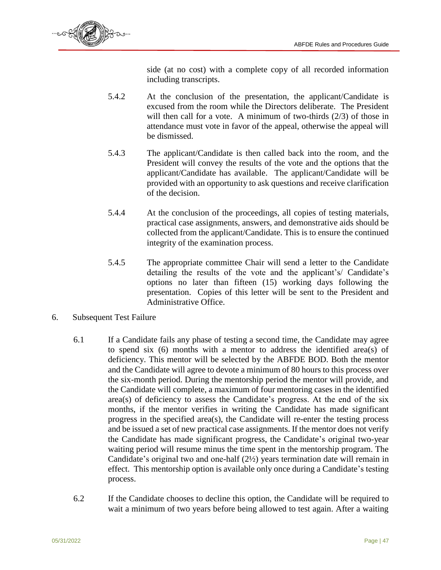

side (at no cost) with a complete copy of all recorded information including transcripts.

- 5.4.2 At the conclusion of the presentation, the applicant/Candidate is excused from the room while the Directors deliberate. The President will then call for a vote. A minimum of two-thirds (2/3) of those in attendance must vote in favor of the appeal, otherwise the appeal will be dismissed.
- 5.4.3 The applicant/Candidate is then called back into the room, and the President will convey the results of the vote and the options that the applicant/Candidate has available. The applicant/Candidate will be provided with an opportunity to ask questions and receive clarification of the decision.
- 5.4.4 At the conclusion of the proceedings, all copies of testing materials, practical case assignments, answers, and demonstrative aids should be collected from the applicant/Candidate. This is to ensure the continued integrity of the examination process.
- 5.4.5 The appropriate committee Chair will send a letter to the Candidate detailing the results of the vote and the applicant's/ Candidate's options no later than fifteen (15) working days following the presentation. Copies of this letter will be sent to the President and Administrative Office.
- 6. Subsequent Test Failure
	- 6.1 If a Candidate fails any phase of testing a second time, the Candidate may agree to spend six (6) months with a mentor to address the identified area(s) of deficiency. This mentor will be selected by the ABFDE BOD. Both the mentor and the Candidate will agree to devote a minimum of 80 hours to this process over the six-month period. During the mentorship period the mentor will provide, and the Candidate will complete, a maximum of four mentoring cases in the identified area(s) of deficiency to assess the Candidate's progress. At the end of the six months, if the mentor verifies in writing the Candidate has made significant progress in the specified area(s), the Candidate will re-enter the testing process and be issued a set of new practical case assignments. If the mentor does not verify the Candidate has made significant progress, the Candidate's original two-year waiting period will resume minus the time spent in the mentorship program. The Candidate's original two and one-half (2½) years termination date will remain in effect. This mentorship option is available only once during a Candidate's testing process.
	- 6.2 If the Candidate chooses to decline this option, the Candidate will be required to wait a minimum of two years before being allowed to test again. After a waiting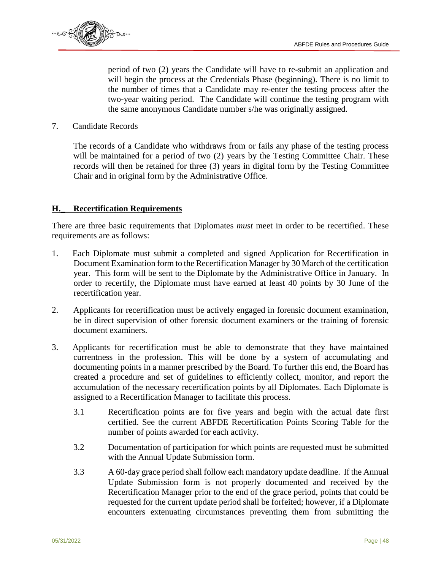

period of two (2) years the Candidate will have to re-submit an application and will begin the process at the Credentials Phase (beginning). There is no limit to the number of times that a Candidate may re-enter the testing process after the two-year waiting period. The Candidate will continue the testing program with the same anonymous Candidate number s/he was originally assigned.

7. Candidate Records

The records of a Candidate who withdraws from or fails any phase of the testing process will be maintained for a period of two  $(2)$  years by the Testing Committee Chair. These records will then be retained for three (3) years in digital form by the Testing Committee Chair and in original form by the Administrative Office.

#### **H.\_ Recertification Requirements**

There are three basic requirements that Diplomates *must* meet in order to be recertified. These requirements are as follows:

- 1. Each Diplomate must submit a completed and signed Application for Recertification in Document Examination form to the Recertification Manager by 30 March of the certification year. This form will be sent to the Diplomate by the Administrative Office in January. In order to recertify, the Diplomate must have earned at least 40 points by 30 June of the recertification year.
- 2. Applicants for recertification must be actively engaged in forensic document examination, be in direct supervision of other forensic document examiners or the training of forensic document examiners.
- 3. Applicants for recertification must be able to demonstrate that they have maintained currentness in the profession. This will be done by a system of accumulating and documenting points in a manner prescribed by the Board. To further this end, the Board has created a procedure and set of guidelines to efficiently collect, monitor, and report the accumulation of the necessary recertification points by all Diplomates. Each Diplomate is assigned to a Recertification Manager to facilitate this process.
	- 3.1 Recertification points are for five years and begin with the actual date first certified. See the current ABFDE Recertification Points Scoring Table for the number of points awarded for each activity.
	- 3.2 Documentation of participation for which points are requested must be submitted with the Annual Update Submission form.
	- 3.3 A 60-day grace period shall follow each mandatory update deadline. If the Annual Update Submission form is not properly documented and received by the Recertification Manager prior to the end of the grace period, points that could be requested for the current update period shall be forfeited; however, if a Diplomate encounters extenuating circumstances preventing them from submitting the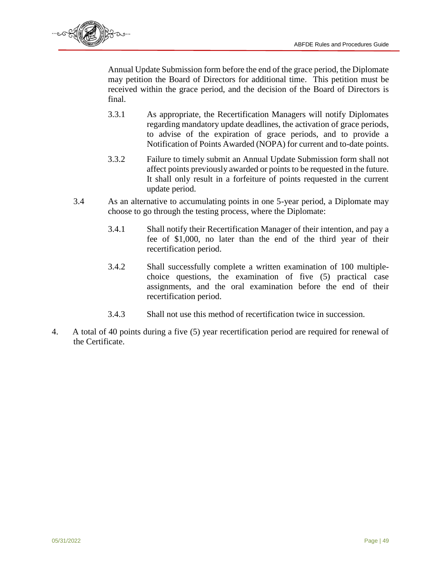

Annual Update Submission form before the end of the grace period, the Diplomate may petition the Board of Directors for additional time. This petition must be received within the grace period, and the decision of the Board of Directors is final.

- 3.3.1 As appropriate, the Recertification Managers will notify Diplomates regarding mandatory update deadlines, the activation of grace periods, to advise of the expiration of grace periods, and to provide a Notification of Points Awarded (NOPA) for current and to-date points.
- 3.3.2 Failure to timely submit an Annual Update Submission form shall not affect points previously awarded or points to be requested in the future. It shall only result in a forfeiture of points requested in the current update period.
- 3.4 As an alternative to accumulating points in one 5-year period, a Diplomate may choose to go through the testing process, where the Diplomate:
	- 3.4.1 Shall notify their Recertification Manager of their intention, and pay a fee of \$1,000, no later than the end of the third year of their recertification period.
	- 3.4.2 Shall successfully complete a written examination of 100 multiplechoice questions, the examination of five (5) practical case assignments, and the oral examination before the end of their recertification period.
	- 3.4.3 Shall not use this method of recertification twice in succession.
- 4. A total of 40 points during a five (5) year recertification period are required for renewal of the Certificate.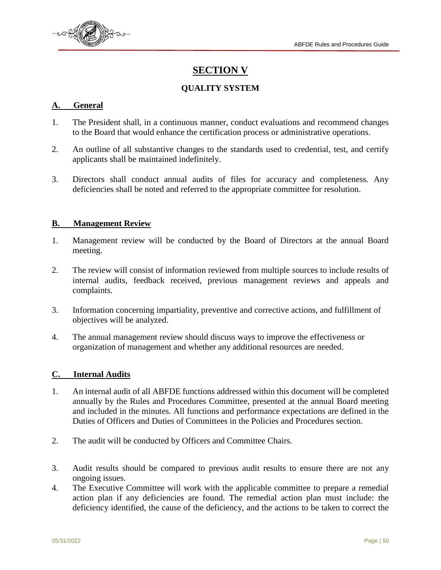

## **SECTION V**

#### **QUALITY SYSTEM**

#### **A. General**

- 1. The President shall, in a continuous manner, conduct evaluations and recommend changes to the Board that would enhance the certification process or administrative operations.
- 2. An outline of all substantive changes to the standards used to credential, test, and certify applicants shall be maintained indefinitely.
- 3. Directors shall conduct annual audits of files for accuracy and completeness. Any deficiencies shall be noted and referred to the appropriate committee for resolution.

#### **B. Management Review**

- 1. Management review will be conducted by the Board of Directors at the annual Board meeting.
- 2. The review will consist of information reviewed from multiple sources to include results of internal audits, feedback received, previous management reviews and appeals and complaints.
- 3. Information concerning impartiality, preventive and corrective actions, and fulfillment of objectives will be analyzed.
- 4. The annual management review should discuss ways to improve the effectiveness or organization of management and whether any additional resources are needed.

#### **C. Internal Audits**

- 1. An internal audit of all ABFDE functions addressed within this document will be completed annually by the Rules and Procedures Committee, presented at the annual Board meeting and included in the minutes. All functions and performance expectations are defined in the Duties of Officers and Duties of Committees in the Policies and Procedures section.
- 2. The audit will be conducted by Officers and Committee Chairs.
- 3. Audit results should be compared to previous audit results to ensure there are not any ongoing issues.
- 4. The Executive Committee will work with the applicable committee to prepare a remedial action plan if any deficiencies are found. The remedial action plan must include: the deficiency identified, the cause of the deficiency, and the actions to be taken to correct the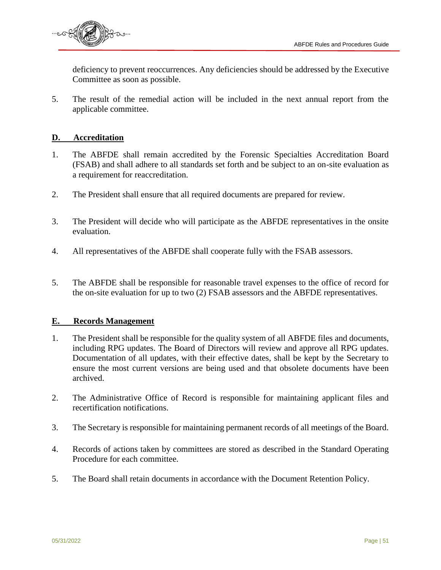

deficiency to prevent reoccurrences. Any deficiencies should be addressed by the Executive Committee as soon as possible.

5. The result of the remedial action will be included in the next annual report from the applicable committee.

#### **D. Accreditation**

- 1. The ABFDE shall remain accredited by the Forensic Specialties Accreditation Board (FSAB) and shall adhere to all standards set forth and be subject to an on-site evaluation as a requirement for reaccreditation.
- 2. The President shall ensure that all required documents are prepared for review.
- 3. The President will decide who will participate as the ABFDE representatives in the onsite evaluation.
- 4. All representatives of the ABFDE shall cooperate fully with the FSAB assessors.
- 5. The ABFDE shall be responsible for reasonable travel expenses to the office of record for the on-site evaluation for up to two (2) FSAB assessors and the ABFDE representatives.

#### **E. Records Management**

- 1. The President shall be responsible for the quality system of all ABFDE files and documents, including RPG updates. The Board of Directors will review and approve all RPG updates. Documentation of all updates, with their effective dates, shall be kept by the Secretary to ensure the most current versions are being used and that obsolete documents have been archived.
- 2. The Administrative Office of Record is responsible for maintaining applicant files and recertification notifications.
- 3. The Secretary is responsible for maintaining permanent records of all meetings of the Board.
- 4. Records of actions taken by committees are stored as described in the Standard Operating Procedure for each committee.
- 5. The Board shall retain documents in accordance with the Document Retention Policy.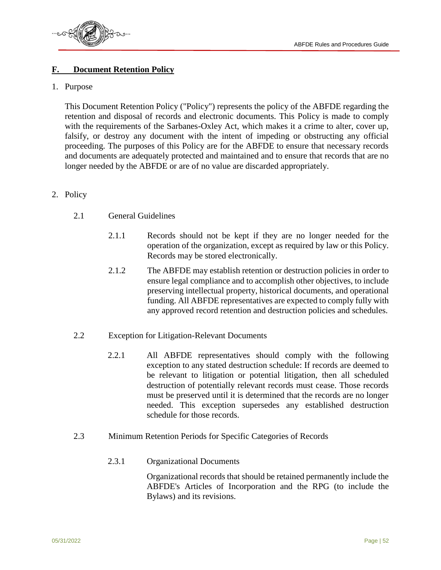

#### **F. Document Retention Policy**

#### 1. Purpose

This Document Retention Policy ("Policy") represents the policy of the ABFDE regarding the retention and disposal of records and electronic documents. This Policy is made to comply with the requirements of the Sarbanes-Oxley Act, which makes it a crime to alter, cover up, falsify, or destroy any document with the intent of impeding or obstructing any official proceeding. The purposes of this Policy are for the ABFDE to ensure that necessary records and documents are adequately protected and maintained and to ensure that records that are no longer needed by the ABFDE or are of no value are discarded appropriately.

#### 2. Policy

- 2.1 General Guidelines
	- 2.1.1 Records should not be kept if they are no longer needed for the operation of the organization, except as required by law or this Policy. Records may be stored electronically.
	- 2.1.2 The ABFDE may establish retention or destruction policies in order to ensure legal compliance and to accomplish other objectives, to include preserving intellectual property, historical documents, and operational funding. All ABFDE representatives are expected to comply fully with any approved record retention and destruction policies and schedules.
- 2.2 Exception for Litigation-Relevant Documents
	- 2.2.1 All ABFDE representatives should comply with the following exception to any stated destruction schedule: If records are deemed to be relevant to litigation or potential litigation, then all scheduled destruction of potentially relevant records must cease. Those records must be preserved until it is determined that the records are no longer needed. This exception supersedes any established destruction schedule for those records.
- 2.3 Minimum Retention Periods for Specific Categories of Records
	- 2.3.1 Organizational Documents

Organizational records that should be retained permanently include the ABFDE's Articles of Incorporation and the RPG (to include the Bylaws) and its revisions.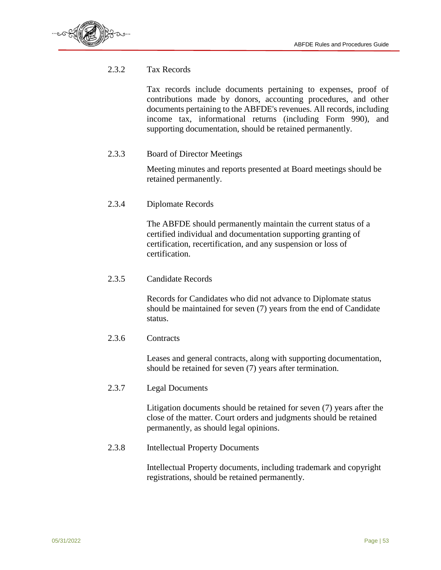

#### 2.3.2 Tax Records

Tax records include documents pertaining to expenses, proof of contributions made by donors, accounting procedures, and other documents pertaining to the ABFDE's revenues. All records, including income tax, informational returns (including Form 990), and supporting documentation, should be retained permanently.

#### 2.3.3 Board of Director Meetings

Meeting minutes and reports presented at Board meetings should be retained permanently.

2.3.4 Diplomate Records

The ABFDE should permanently maintain the current status of a certified individual and documentation supporting granting of certification, recertification, and any suspension or loss of certification.

2.3.5 Candidate Records

Records for Candidates who did not advance to Diplomate status should be maintained for seven (7) years from the end of Candidate status.

#### 2.3.6 Contracts

Leases and general contracts, along with supporting documentation, should be retained for seven (7) years after termination.

2.3.7 Legal Documents

Litigation documents should be retained for seven (7) years after the close of the matter. Court orders and judgments should be retained permanently, as should legal opinions.

2.3.8 Intellectual Property Documents

Intellectual Property documents, including trademark and copyright registrations, should be retained permanently.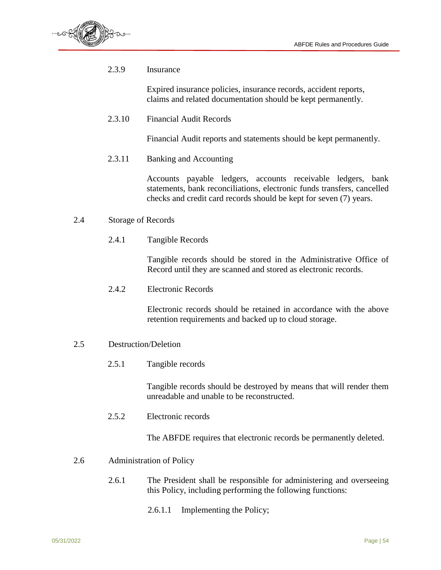

2.3.9 Insurance

Expired insurance policies, insurance records, accident reports, claims and related documentation should be kept permanently.

2.3.10 Financial Audit Records

Financial Audit reports and statements should be kept permanently.

2.3.11 Banking and Accounting

Accounts payable ledgers, accounts receivable ledgers, bank statements, bank reconciliations, electronic funds transfers, cancelled checks and credit card records should be kept for seven (7) years.

- 2.4 Storage of Records
	- 2.4.1 Tangible Records

Tangible records should be stored in the Administrative Office of Record until they are scanned and stored as electronic records.

2.4.2 Electronic Records

Electronic records should be retained in accordance with the above retention requirements and backed up to cloud storage.

- 2.5 Destruction/Deletion
	- 2.5.1 Tangible records

Tangible records should be destroyed by means that will render them unreadable and unable to be reconstructed.

2.5.2 Electronic records

The ABFDE requires that electronic records be permanently deleted.

- 2.6 Administration of Policy
	- 2.6.1 The President shall be responsible for administering and overseeing this Policy, including performing the following functions:
		- 2.6.1.1 Implementing the Policy;